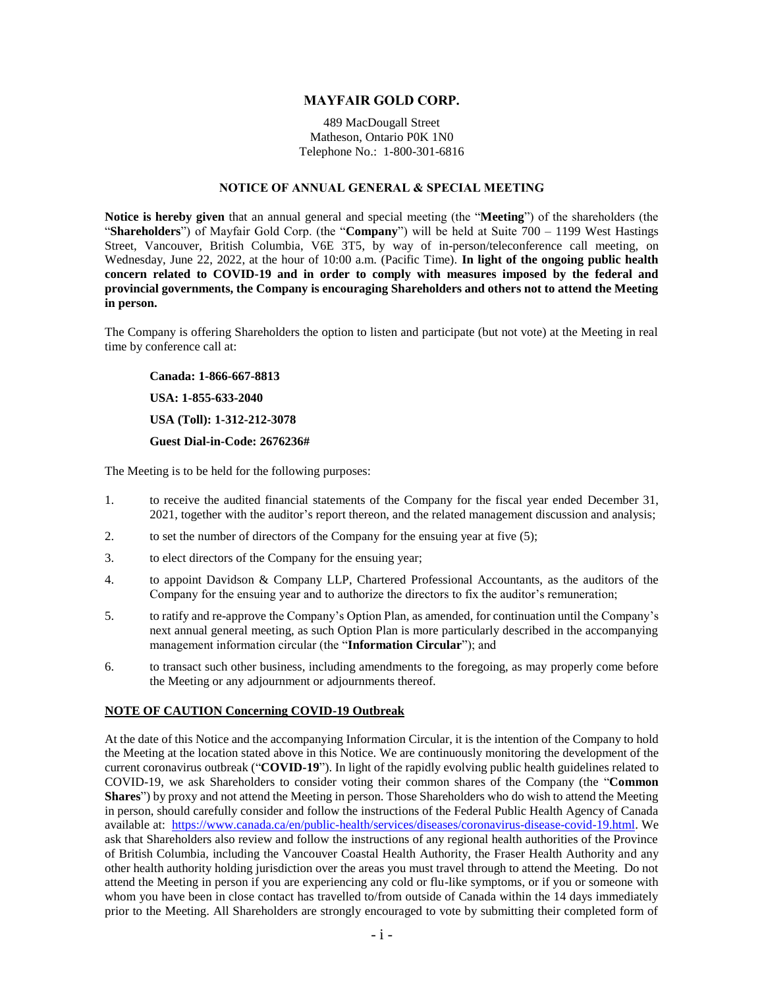## **MAYFAIR GOLD CORP.**

489 MacDougall Street Matheson, Ontario P0K 1N0 Telephone No.: 1-800-301-6816

### **NOTICE OF ANNUAL GENERAL & SPECIAL MEETING**

**Notice is hereby given** that an annual general and special meeting (the "**Meeting**") of the shareholders (the "**Shareholders**") of Mayfair Gold Corp. (the "**Company**") will be held at Suite 700 – 1199 West Hastings Street, Vancouver, British Columbia, V6E 3T5, by way of in-person/teleconference call meeting, on Wednesday, June 22, 2022, at the hour of 10:00 a.m. (Pacific Time). **In light of the ongoing public health concern related to COVID-19 and in order to comply with measures imposed by the federal and provincial governments, the Company is encouraging Shareholders and others not to attend the Meeting in person.**

The Company is offering Shareholders the option to listen and participate (but not vote) at the Meeting in real time by conference call at:

**Canada: 1-866-667-8813**

**USA: 1-855-633-2040**

**USA (Toll): 1-312-212-3078**

**Guest Dial-in-Code: 2676236#**

The Meeting is to be held for the following purposes:

- 1. to receive the audited financial statements of the Company for the fiscal year ended December 31, 2021, together with the auditor's report thereon, and the related management discussion and analysis;
- 2. to set the number of directors of the Company for the ensuing year at five (5);
- 3. to elect directors of the Company for the ensuing year;
- 4. to appoint Davidson & Company LLP, Chartered Professional Accountants, as the auditors of the Company for the ensuing year and to authorize the directors to fix the auditor's remuneration;
- 5. to ratify and re-approve the Company's Option Plan, as amended, for continuation until the Company's next annual general meeting, as such Option Plan is more particularly described in the accompanying management information circular (the "**Information Circular**"); and
- 6. to transact such other business, including amendments to the foregoing, as may properly come before the Meeting or any adjournment or adjournments thereof.

#### **NOTE OF CAUTION Concerning COVID-19 Outbreak**

At the date of this Notice and the accompanying Information Circular, it is the intention of the Company to hold the Meeting at the location stated above in this Notice. We are continuously monitoring the development of the current coronavirus outbreak ("**COVID-19**"). In light of the rapidly evolving public health guidelines related to COVID-19, we ask Shareholders to consider voting their common shares of the Company (the "**Common Shares**") by proxy and not attend the Meeting in person. Those Shareholders who do wish to attend the Meeting in person, should carefully consider and follow the instructions of the Federal Public Health Agency of Canada available at: [https://www.canada.ca/en/public-health/services/diseases/coronavirus-disease-covid-19.html.](https://www.canada.ca/en/public-health/services/diseases/coronavirus-disease-covid-19.html) We ask that Shareholders also review and follow the instructions of any regional health authorities of the Province of British Columbia, including the Vancouver Coastal Health Authority, the Fraser Health Authority and any other health authority holding jurisdiction over the areas you must travel through to attend the Meeting. Do not attend the Meeting in person if you are experiencing any cold or flu-like symptoms, or if you or someone with whom you have been in close contact has travelled to/from outside of Canada within the 14 days immediately prior to the Meeting. All Shareholders are strongly encouraged to vote by submitting their completed form of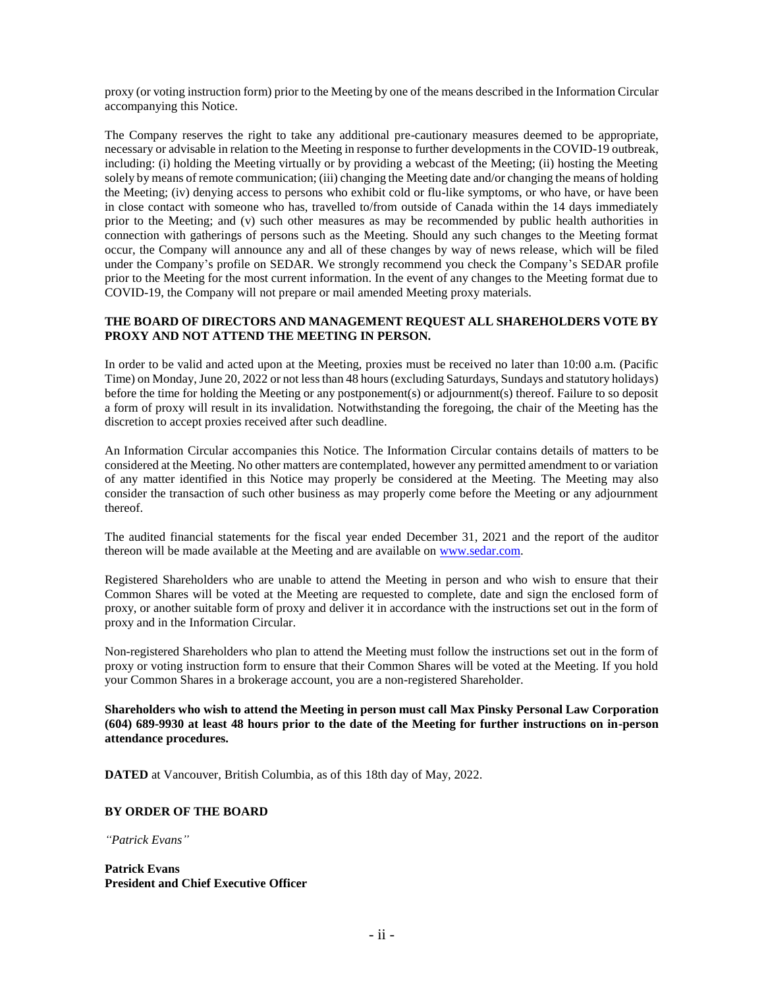proxy (or voting instruction form) prior to the Meeting by one of the means described in the Information Circular accompanying this Notice.

The Company reserves the right to take any additional pre-cautionary measures deemed to be appropriate, necessary or advisable in relation to the Meeting in response to further developments in the COVID-19 outbreak, including: (i) holding the Meeting virtually or by providing a webcast of the Meeting; (ii) hosting the Meeting solely by means of remote communication; (iii) changing the Meeting date and/or changing the means of holding the Meeting; (iv) denying access to persons who exhibit cold or flu-like symptoms, or who have, or have been in close contact with someone who has, travelled to/from outside of Canada within the 14 days immediately prior to the Meeting; and (v) such other measures as may be recommended by public health authorities in connection with gatherings of persons such as the Meeting. Should any such changes to the Meeting format occur, the Company will announce any and all of these changes by way of news release, which will be filed under the Company's profile on SEDAR. We strongly recommend you check the Company's SEDAR profile prior to the Meeting for the most current information. In the event of any changes to the Meeting format due to COVID-19, the Company will not prepare or mail amended Meeting proxy materials.

# **THE BOARD OF DIRECTORS AND MANAGEMENT REQUEST ALL SHAREHOLDERS VOTE BY PROXY AND NOT ATTEND THE MEETING IN PERSON.**

In order to be valid and acted upon at the Meeting, proxies must be received no later than 10:00 a.m. (Pacific Time) on Monday, June 20, 2022 or not less than 48 hours (excluding Saturdays, Sundays and statutory holidays) before the time for holding the Meeting or any postponement(s) or adjournment(s) thereof. Failure to so deposit a form of proxy will result in its invalidation. Notwithstanding the foregoing, the chair of the Meeting has the discretion to accept proxies received after such deadline.

An Information Circular accompanies this Notice. The Information Circular contains details of matters to be considered at the Meeting. No other matters are contemplated, however any permitted amendment to or variation of any matter identified in this Notice may properly be considered at the Meeting. The Meeting may also consider the transaction of such other business as may properly come before the Meeting or any adjournment thereof.

The audited financial statements for the fiscal year ended December 31, 2021 and the report of the auditor thereon will be made available at the Meeting and are available on [www.sedar.com.](http://www.sedar.com/)

Registered Shareholders who are unable to attend the Meeting in person and who wish to ensure that their Common Shares will be voted at the Meeting are requested to complete, date and sign the enclosed form of proxy, or another suitable form of proxy and deliver it in accordance with the instructions set out in the form of proxy and in the Information Circular.

Non-registered Shareholders who plan to attend the Meeting must follow the instructions set out in the form of proxy or voting instruction form to ensure that their Common Shares will be voted at the Meeting. If you hold your Common Shares in a brokerage account, you are a non-registered Shareholder.

**Shareholders who wish to attend the Meeting in person must call Max Pinsky Personal Law Corporation (604) 689-9930 at least 48 hours prior to the date of the Meeting for further instructions on in-person attendance procedures.**

**DATED** at Vancouver, British Columbia, as of this 18th day of May, 2022.

## **BY ORDER OF THE BOARD**

*"Patrick Evans"*

**Patrick Evans President and Chief Executive Officer**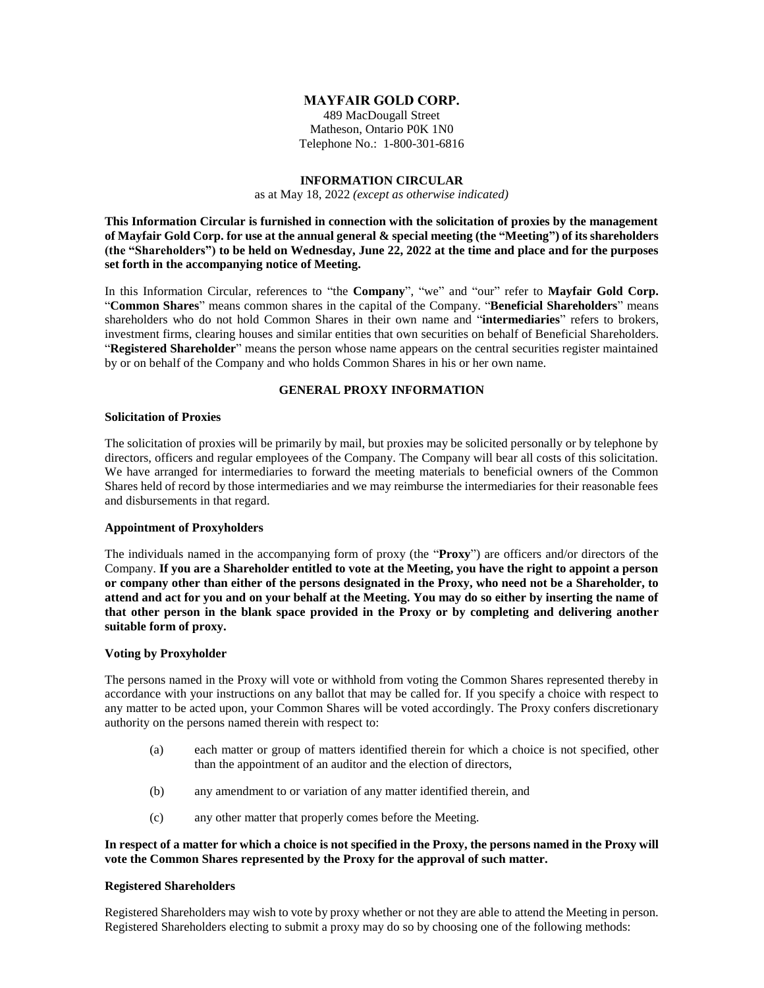## **MAYFAIR GOLD CORP.**

489 MacDougall Street Matheson, Ontario P0K 1N0 Telephone No.: 1-800-301-6816

### **INFORMATION CIRCULAR**

as at May 18, 2022 *(except as otherwise indicated)*

**This Information Circular is furnished in connection with the solicitation of proxies by the management of Mayfair Gold Corp. for use at the annual general & special meeting (the "Meeting") of its shareholders (the "Shareholders") to be held on Wednesday, June 22, 2022 at the time and place and for the purposes set forth in the accompanying notice of Meeting.** 

In this Information Circular, references to "the **Company**", "we" and "our" refer to **Mayfair Gold Corp.**  "**Common Shares**" means common shares in the capital of the Company. "**Beneficial Shareholders**" means shareholders who do not hold Common Shares in their own name and "**intermediaries**" refers to brokers, investment firms, clearing houses and similar entities that own securities on behalf of Beneficial Shareholders. "**Registered Shareholder**" means the person whose name appears on the central securities register maintained by or on behalf of the Company and who holds Common Shares in his or her own name.

### **GENERAL PROXY INFORMATION**

#### **Solicitation of Proxies**

The solicitation of proxies will be primarily by mail, but proxies may be solicited personally or by telephone by directors, officers and regular employees of the Company. The Company will bear all costs of this solicitation. We have arranged for intermediaries to forward the meeting materials to beneficial owners of the Common Shares held of record by those intermediaries and we may reimburse the intermediaries for their reasonable fees and disbursements in that regard.

## **Appointment of Proxyholders**

The individuals named in the accompanying form of proxy (the "**Proxy**") are officers and/or directors of the Company. **If you are a Shareholder entitled to vote at the Meeting, you have the right to appoint a person or company other than either of the persons designated in the Proxy, who need not be a Shareholder, to attend and act for you and on your behalf at the Meeting. You may do so either by inserting the name of that other person in the blank space provided in the Proxy or by completing and delivering another suitable form of proxy.**

## **Voting by Proxyholder**

The persons named in the Proxy will vote or withhold from voting the Common Shares represented thereby in accordance with your instructions on any ballot that may be called for. If you specify a choice with respect to any matter to be acted upon, your Common Shares will be voted accordingly. The Proxy confers discretionary authority on the persons named therein with respect to:

- (a) each matter or group of matters identified therein for which a choice is not specified, other than the appointment of an auditor and the election of directors,
- (b) any amendment to or variation of any matter identified therein, and
- (c) any other matter that properly comes before the Meeting.

## **In respect of a matter for which a choice is not specified in the Proxy, the persons named in the Proxy will vote the Common Shares represented by the Proxy for the approval of such matter.**

### **Registered Shareholders**

Registered Shareholders may wish to vote by proxy whether or not they are able to attend the Meeting in person. Registered Shareholders electing to submit a proxy may do so by choosing one of the following methods: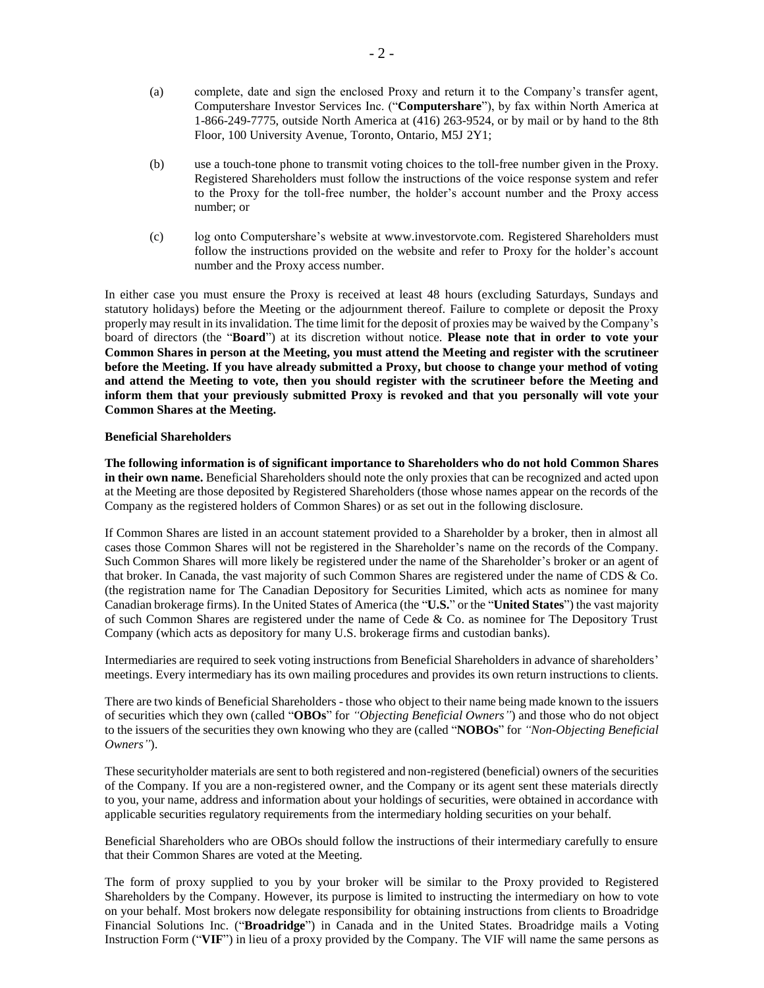- (a) complete, date and sign the enclosed Proxy and return it to the Company's transfer agent, Computershare Investor Services Inc. ("**Computershare**"), by fax within North America at 1-866-249-7775, outside North America at (416) 263-9524, or by mail or by hand to the 8th Floor, 100 University Avenue, Toronto, Ontario, M5J 2Y1;
- (b) use a touch-tone phone to transmit voting choices to the toll-free number given in the Proxy. Registered Shareholders must follow the instructions of the voice response system and refer to the Proxy for the toll-free number, the holder's account number and the Proxy access number; or
- (c) log onto Computershare's website at www.investorvote.com. Registered Shareholders must follow the instructions provided on the website and refer to Proxy for the holder's account number and the Proxy access number.

In either case you must ensure the Proxy is received at least 48 hours (excluding Saturdays, Sundays and statutory holidays) before the Meeting or the adjournment thereof. Failure to complete or deposit the Proxy properly may result in its invalidation. The time limit for the deposit of proxies may be waived by the Company's board of directors (the "**Board**") at its discretion without notice. **Please note that in order to vote your Common Shares in person at the Meeting, you must attend the Meeting and register with the scrutineer before the Meeting. If you have already submitted a Proxy, but choose to change your method of voting and attend the Meeting to vote, then you should register with the scrutineer before the Meeting and inform them that your previously submitted Proxy is revoked and that you personally will vote your Common Shares at the Meeting.**

### **Beneficial Shareholders**

**The following information is of significant importance to Shareholders who do not hold Common Shares in their own name.** Beneficial Shareholders should note the only proxies that can be recognized and acted upon at the Meeting are those deposited by Registered Shareholders (those whose names appear on the records of the Company as the registered holders of Common Shares) or as set out in the following disclosure.

If Common Shares are listed in an account statement provided to a Shareholder by a broker, then in almost all cases those Common Shares will not be registered in the Shareholder's name on the records of the Company. Such Common Shares will more likely be registered under the name of the Shareholder's broker or an agent of that broker. In Canada, the vast majority of such Common Shares are registered under the name of CDS & Co. (the registration name for The Canadian Depository for Securities Limited, which acts as nominee for many Canadian brokerage firms). In the United States of America (the "**U.S.**" or the "**United States**") the vast majority of such Common Shares are registered under the name of Cede & Co. as nominee for The Depository Trust Company (which acts as depository for many U.S. brokerage firms and custodian banks).

Intermediaries are required to seek voting instructions from Beneficial Shareholders in advance of shareholders' meetings. Every intermediary has its own mailing procedures and provides its own return instructions to clients.

There are two kinds of Beneficial Shareholders - those who object to their name being made known to the issuers of securities which they own (called "**OBOs**" for *"Objecting Beneficial Owners"*) and those who do not object to the issuers of the securities they own knowing who they are (called "**NOBOs**" for *"Non-Objecting Beneficial Owners"*).

These securityholder materials are sent to both registered and non-registered (beneficial) owners of the securities of the Company. If you are a non-registered owner, and the Company or its agent sent these materials directly to you, your name, address and information about your holdings of securities, were obtained in accordance with applicable securities regulatory requirements from the intermediary holding securities on your behalf.

Beneficial Shareholders who are OBOs should follow the instructions of their intermediary carefully to ensure that their Common Shares are voted at the Meeting.

The form of proxy supplied to you by your broker will be similar to the Proxy provided to Registered Shareholders by the Company. However, its purpose is limited to instructing the intermediary on how to vote on your behalf. Most brokers now delegate responsibility for obtaining instructions from clients to Broadridge Financial Solutions Inc. ("**Broadridge**") in Canada and in the United States. Broadridge mails a Voting Instruction Form ("**VIF**") in lieu of a proxy provided by the Company. The VIF will name the same persons as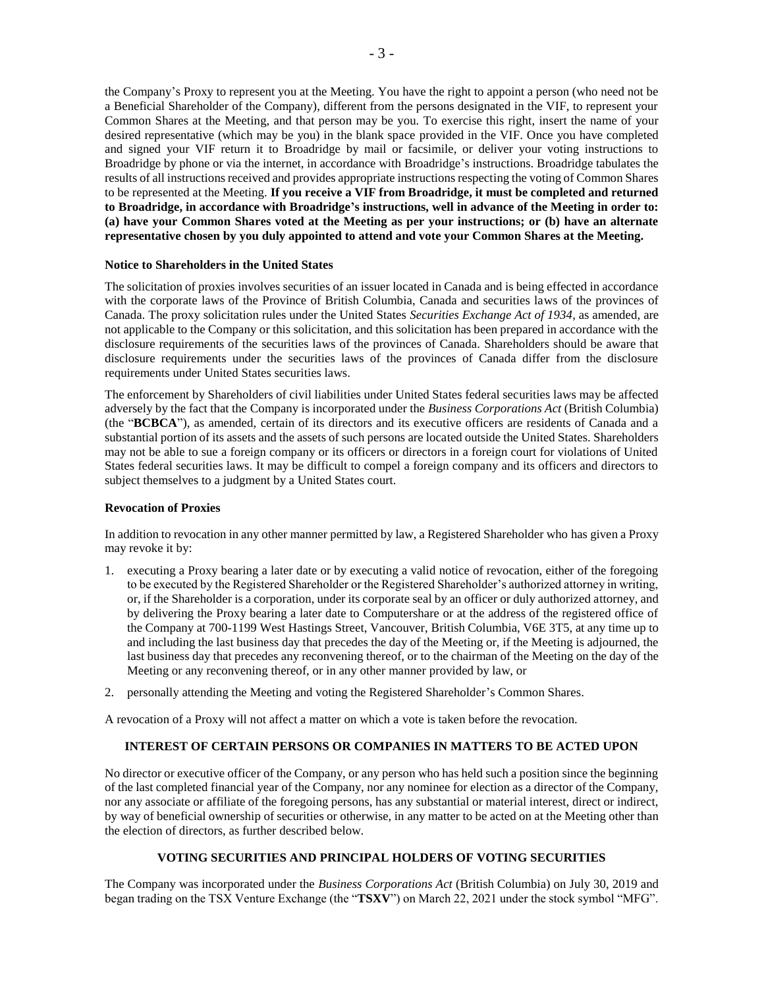the Company's Proxy to represent you at the Meeting. You have the right to appoint a person (who need not be a Beneficial Shareholder of the Company), different from the persons designated in the VIF, to represent your Common Shares at the Meeting, and that person may be you. To exercise this right, insert the name of your desired representative (which may be you) in the blank space provided in the VIF. Once you have completed and signed your VIF return it to Broadridge by mail or facsimile, or deliver your voting instructions to Broadridge by phone or via the internet, in accordance with Broadridge's instructions. Broadridge tabulates the results of all instructions received and provides appropriate instructions respecting the voting of Common Shares to be represented at the Meeting. **If you receive a VIF from Broadridge, it must be completed and returned to Broadridge, in accordance with Broadridge's instructions, well in advance of the Meeting in order to: (a) have your Common Shares voted at the Meeting as per your instructions; or (b) have an alternate representative chosen by you duly appointed to attend and vote your Common Shares at the Meeting.**

### **Notice to Shareholders in the United States**

The solicitation of proxies involves securities of an issuer located in Canada and is being effected in accordance with the corporate laws of the Province of British Columbia, Canada and securities laws of the provinces of Canada. The proxy solicitation rules under the United States *Securities Exchange Act of 1934*, as amended, are not applicable to the Company or this solicitation, and this solicitation has been prepared in accordance with the disclosure requirements of the securities laws of the provinces of Canada. Shareholders should be aware that disclosure requirements under the securities laws of the provinces of Canada differ from the disclosure requirements under United States securities laws.

The enforcement by Shareholders of civil liabilities under United States federal securities laws may be affected adversely by the fact that the Company is incorporated under the *Business Corporations Act* (British Columbia) (the "**BCBCA**"), as amended, certain of its directors and its executive officers are residents of Canada and a substantial portion of its assets and the assets of such persons are located outside the United States. Shareholders may not be able to sue a foreign company or its officers or directors in a foreign court for violations of United States federal securities laws. It may be difficult to compel a foreign company and its officers and directors to subject themselves to a judgment by a United States court.

### **Revocation of Proxies**

In addition to revocation in any other manner permitted by law, a Registered Shareholder who has given a Proxy may revoke it by:

- 1. executing a Proxy bearing a later date or by executing a valid notice of revocation, either of the foregoing to be executed by the Registered Shareholder or the Registered Shareholder's authorized attorney in writing, or, if the Shareholder is a corporation, under its corporate seal by an officer or duly authorized attorney, and by delivering the Proxy bearing a later date to Computershare or at the address of the registered office of the Company at 700-1199 West Hastings Street, Vancouver, British Columbia, V6E 3T5, at any time up to and including the last business day that precedes the day of the Meeting or, if the Meeting is adjourned, the last business day that precedes any reconvening thereof, or to the chairman of the Meeting on the day of the Meeting or any reconvening thereof, or in any other manner provided by law, or
- 2. personally attending the Meeting and voting the Registered Shareholder's Common Shares.

A revocation of a Proxy will not affect a matter on which a vote is taken before the revocation.

#### **INTEREST OF CERTAIN PERSONS OR COMPANIES IN MATTERS TO BE ACTED UPON**

No director or executive officer of the Company, or any person who has held such a position since the beginning of the last completed financial year of the Company, nor any nominee for election as a director of the Company, nor any associate or affiliate of the foregoing persons, has any substantial or material interest, direct or indirect, by way of beneficial ownership of securities or otherwise, in any matter to be acted on at the Meeting other than the election of directors, as further described below.

# **VOTING SECURITIES AND PRINCIPAL HOLDERS OF VOTING SECURITIES**

The Company was incorporated under the *Business Corporations Act* (British Columbia) on July 30, 2019 and began trading on the TSX Venture Exchange (the "**TSXV**") on March 22, 2021 under the stock symbol "MFG".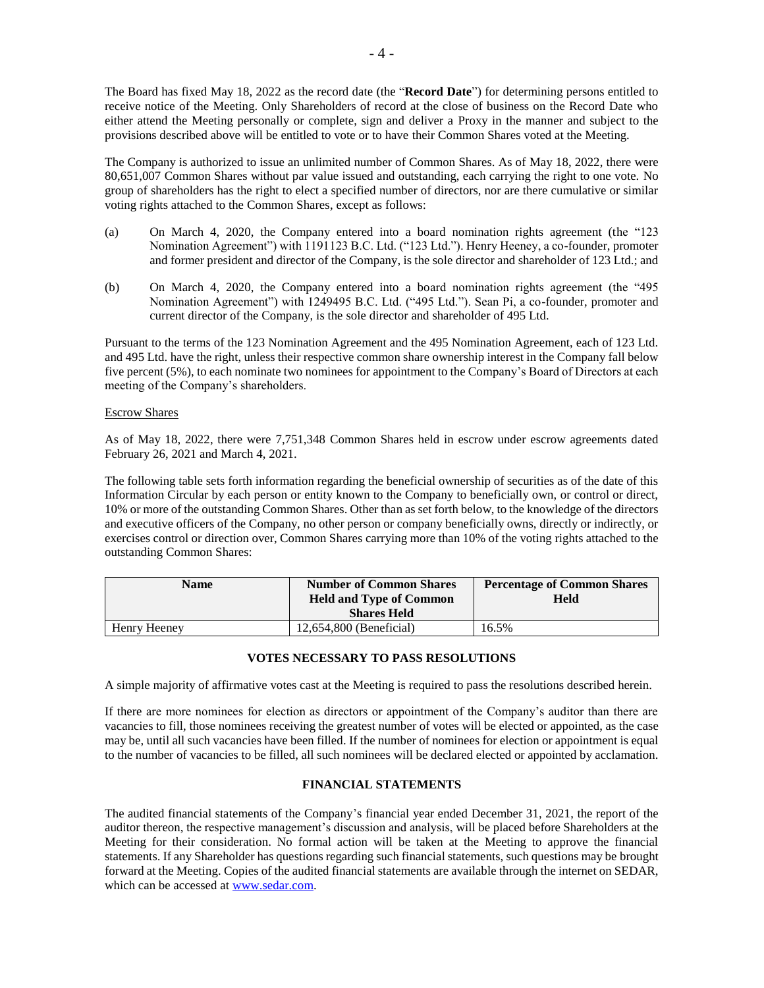- 4 -

The Board has fixed May 18, 2022 as the record date (the "**Record Date**") for determining persons entitled to receive notice of the Meeting. Only Shareholders of record at the close of business on the Record Date who either attend the Meeting personally or complete, sign and deliver a Proxy in the manner and subject to the provisions described above will be entitled to vote or to have their Common Shares voted at the Meeting.

The Company is authorized to issue an unlimited number of Common Shares. As of May 18, 2022, there were 80,651,007 Common Shares without par value issued and outstanding, each carrying the right to one vote. No group of shareholders has the right to elect a specified number of directors, nor are there cumulative or similar voting rights attached to the Common Shares, except as follows:

- (a) On March 4, 2020, the Company entered into a board nomination rights agreement (the "123 Nomination Agreement") with 1191123 B.C. Ltd. ("123 Ltd."). Henry Heeney, a co-founder, promoter and former president and director of the Company, is the sole director and shareholder of 123 Ltd.; and
- (b) On March 4, 2020, the Company entered into a board nomination rights agreement (the "495 Nomination Agreement") with 1249495 B.C. Ltd. ("495 Ltd."). Sean Pi, a co-founder, promoter and current director of the Company, is the sole director and shareholder of 495 Ltd.

Pursuant to the terms of the 123 Nomination Agreement and the 495 Nomination Agreement, each of 123 Ltd. and 495 Ltd. have the right, unless their respective common share ownership interest in the Company fall below five percent (5%), to each nominate two nominees for appointment to the Company's Board of Directors at each meeting of the Company's shareholders.

## Escrow Shares

As of May 18, 2022, there were 7,751,348 Common Shares held in escrow under escrow agreements dated February 26, 2021 and March 4, 2021.

The following table sets forth information regarding the beneficial ownership of securities as of the date of this Information Circular by each person or entity known to the Company to beneficially own, or control or direct, 10% or more of the outstanding Common Shares. Other than as set forth below, to the knowledge of the directors and executive officers of the Company, no other person or company beneficially owns, directly or indirectly, or exercises control or direction over, Common Shares carrying more than 10% of the voting rights attached to the outstanding Common Shares:

| Name         | <b>Number of Common Shares</b><br><b>Held and Type of Common</b><br><b>Shares Held</b> | <b>Percentage of Common Shares</b><br>Held |
|--------------|----------------------------------------------------------------------------------------|--------------------------------------------|
| Henry Heeney | 12,654,800 (Beneficial)                                                                | 16.5%                                      |

# **VOTES NECESSARY TO PASS RESOLUTIONS**

A simple majority of affirmative votes cast at the Meeting is required to pass the resolutions described herein.

If there are more nominees for election as directors or appointment of the Company's auditor than there are vacancies to fill, those nominees receiving the greatest number of votes will be elected or appointed, as the case may be, until all such vacancies have been filled. If the number of nominees for election or appointment is equal to the number of vacancies to be filled, all such nominees will be declared elected or appointed by acclamation.

# **FINANCIAL STATEMENTS**

The audited financial statements of the Company's financial year ended December 31, 2021, the report of the auditor thereon, the respective management's discussion and analysis, will be placed before Shareholders at the Meeting for their consideration. No formal action will be taken at the Meeting to approve the financial statements. If any Shareholder has questions regarding such financial statements, such questions may be brought forward at the Meeting. Copies of the audited financial statements are available through the internet on SEDAR, which can be accessed at [www.sedar.com.](http://www.sedar.com/)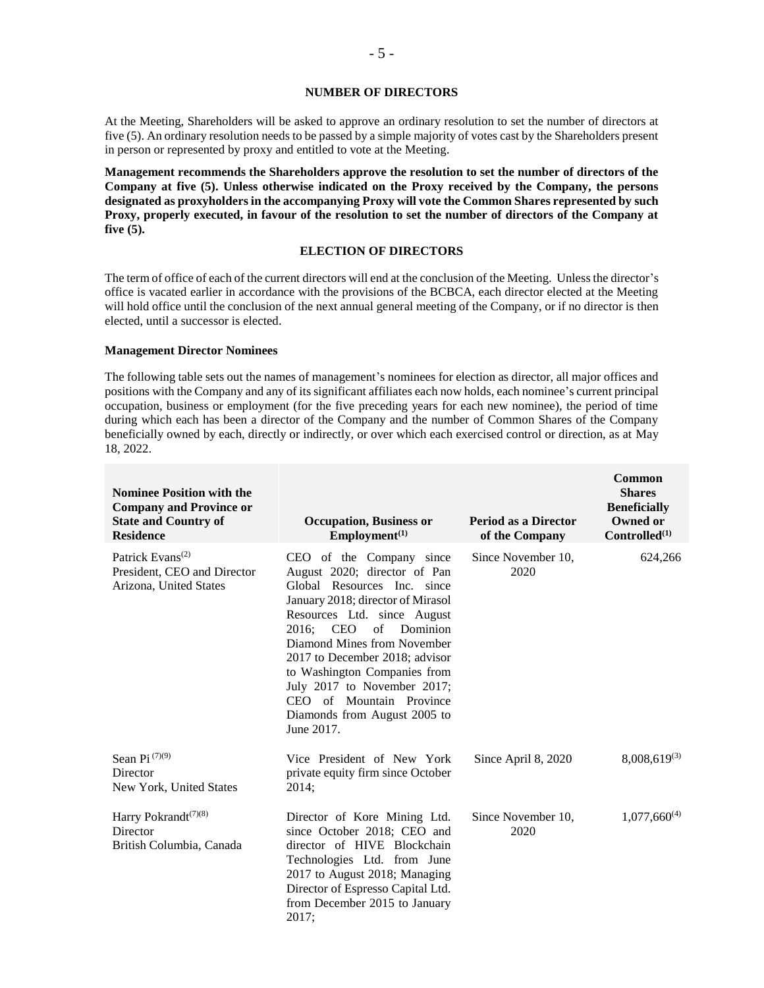#### **NUMBER OF DIRECTORS**

At the Meeting, Shareholders will be asked to approve an ordinary resolution to set the number of directors at five (5). An ordinary resolution needs to be passed by a simple majority of votes cast by the Shareholders present in person or represented by proxy and entitled to vote at the Meeting.

**Management recommends the Shareholders approve the resolution to set the number of directors of the Company at five (5). Unless otherwise indicated on the Proxy received by the Company, the persons designated as proxyholders in the accompanying Proxy will vote the Common Shares represented by such Proxy, properly executed, in favour of the resolution to set the number of directors of the Company at five (5).**

## **ELECTION OF DIRECTORS**

The term of office of each of the current directors will end at the conclusion of the Meeting. Unless the director's office is vacated earlier in accordance with the provisions of the BCBCA, each director elected at the Meeting will hold office until the conclusion of the next annual general meeting of the Company, or if no director is then elected, until a successor is elected.

### **Management Director Nominees**

The following table sets out the names of management's nominees for election as director, all major offices and positions with the Company and any of its significant affiliates each now holds, each nominee's current principal occupation, business or employment (for the five preceding years for each new nominee), the period of time during which each has been a director of the Company and the number of Common Shares of the Company beneficially owned by each, directly or indirectly, or over which each exercised control or direction, as at May 18, 2022.

| <b>Nominee Position with the</b><br><b>Company and Province or</b><br><b>State and Country of</b><br><b>Residence</b> | <b>Occupation, Business or</b><br>Employment <sup>(1)</sup>                                                                                                                                                                                                                                                                                                                                                    | <b>Period as a Director</b><br>of the Company | Common<br><b>Shares</b><br><b>Beneficially</b><br>Owned or<br>Controlled <sup>(1)</sup> |
|-----------------------------------------------------------------------------------------------------------------------|----------------------------------------------------------------------------------------------------------------------------------------------------------------------------------------------------------------------------------------------------------------------------------------------------------------------------------------------------------------------------------------------------------------|-----------------------------------------------|-----------------------------------------------------------------------------------------|
| Patrick Evans <sup>(2)</sup><br>President, CEO and Director<br>Arizona, United States                                 | CEO of the Company since<br>August 2020; director of Pan<br>Global Resources Inc. since<br>January 2018; director of Mirasol<br>Resources Ltd. since August<br><b>CEO</b><br>of<br>Dominion<br>2016:<br>Diamond Mines from November<br>2017 to December 2018; advisor<br>to Washington Companies from<br>July 2017 to November 2017;<br>CEO of Mountain Province<br>Diamonds from August 2005 to<br>June 2017. | Since November 10.<br>2020                    | 624,266                                                                                 |
| Sean Pi <sup>(7)(9)</sup><br>Director<br>New York, United States                                                      | Vice President of New York<br>private equity firm since October<br>2014;                                                                                                                                                                                                                                                                                                                                       | Since April 8, 2020                           | $8,008,619^{(3)}$                                                                       |
| Harry Pokrandt <sup>(7)(8)</sup><br>Director<br>British Columbia, Canada                                              | Director of Kore Mining Ltd.<br>since October 2018; CEO and<br>director of HIVE Blockchain<br>Technologies Ltd. from June<br>2017 to August 2018; Managing<br>Director of Espresso Capital Ltd.<br>from December 2015 to January<br>2017;                                                                                                                                                                      | Since November 10,<br>2020                    | $1,077,660^{(4)}$                                                                       |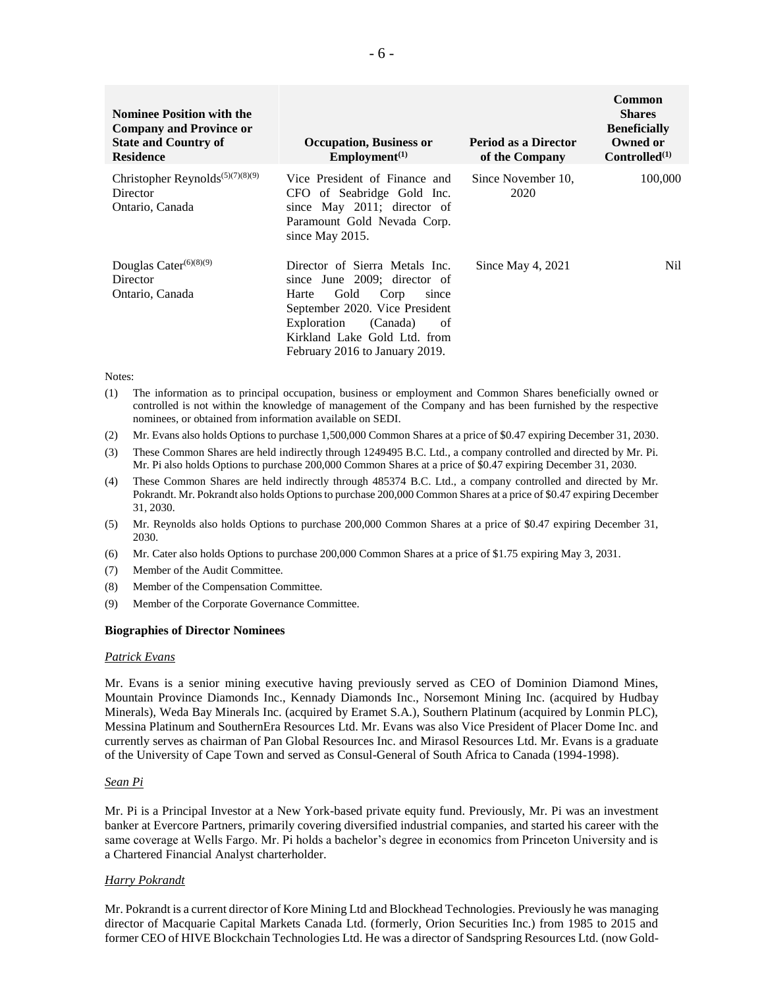| <b>Nominee Position with the</b><br><b>Company and Province or</b><br><b>State and Country of</b><br><b>Residence</b> | <b>Occupation, Business or</b><br>Employment <sup>(1)</sup>                                                                                                                                                                           | <b>Period as a Director</b><br>of the Company | Common<br><b>Shares</b><br><b>Beneficially</b><br>Owned or<br>Controlled <sup>(1)</sup> |
|-----------------------------------------------------------------------------------------------------------------------|---------------------------------------------------------------------------------------------------------------------------------------------------------------------------------------------------------------------------------------|-----------------------------------------------|-----------------------------------------------------------------------------------------|
| Christopher Reynolds <sup>(5)(7)(8)(9)</sup><br>Director<br>Ontario, Canada                                           | Vice President of Finance and<br>CFO of Seabridge Gold Inc.<br>since May 2011; director of<br>Paramount Gold Nevada Corp.<br>since May 2015.                                                                                          | Since November 10,<br>2020                    | 100,000                                                                                 |
| Douglas Cater <sup>(6)(8)(9)</sup><br>Director<br>Ontario, Canada                                                     | Director of Sierra Metals Inc.<br>since June 2009; director of<br>Gold<br>Corp<br>Harte<br>since<br>September 2020. Vice President<br>(Canada)<br>Exploration<br>of<br>Kirkland Lake Gold Ltd. from<br>February 2016 to January 2019. | Since May 4, 2021                             | Nil.                                                                                    |

#### Notes:

- (1) The information as to principal occupation, business or employment and Common Shares beneficially owned or controlled is not within the knowledge of management of the Company and has been furnished by the respective nominees, or obtained from information available on SEDI.
- (2) Mr. Evans also holds Options to purchase 1,500,000 Common Shares at a price of \$0.47 expiring December 31, 2030.
- (3) These Common Shares are held indirectly through 1249495 B.C. Ltd., a company controlled and directed by Mr. Pi. Mr. Pi also holds Options to purchase 200,000 Common Shares at a price of \$0.47 expiring December 31, 2030.
- (4) These Common Shares are held indirectly through 485374 B.C. Ltd., a company controlled and directed by Mr. Pokrandt. Mr. Pokrandt also holds Options to purchase 200,000 Common Shares at a price of \$0.47 expiring December 31, 2030.
- (5) Mr. Reynolds also holds Options to purchase 200,000 Common Shares at a price of \$0.47 expiring December 31, 2030.
- (6) Mr. Cater also holds Options to purchase 200,000 Common Shares at a price of \$1.75 expiring May 3, 2031.
- (7) Member of the Audit Committee.
- (8) Member of the Compensation Committee.
- (9) Member of the Corporate Governance Committee.

#### **Biographies of Director Nominees**

#### *Patrick Evans*

Mr. Evans is a senior mining executive having previously served as CEO of Dominion Diamond Mines, Mountain Province Diamonds Inc., Kennady Diamonds Inc., Norsemont Mining Inc. (acquired by Hudbay Minerals), Weda Bay Minerals Inc. (acquired by Eramet S.A.), Southern Platinum (acquired by Lonmin PLC), Messina Platinum and SouthernEra Resources Ltd. Mr. Evans was also Vice President of Placer Dome Inc. and currently serves as chairman of Pan Global Resources Inc. and Mirasol Resources Ltd. Mr. Evans is a graduate of the University of Cape Town and served as Consul-General of South Africa to Canada (1994-1998).

### *Sean Pi*

Mr. Pi is a Principal Investor at a New York-based private equity fund. Previously, Mr. Pi was an investment banker at Evercore Partners, primarily covering diversified industrial companies, and started his career with the same coverage at Wells Fargo. Mr. Pi holds a bachelor's degree in economics from Princeton University and is a Chartered Financial Analyst charterholder.

#### *Harry Pokrandt*

Mr. Pokrandt is a current director of Kore Mining Ltd and Blockhead Technologies. Previously he was managing director of Macquarie Capital Markets Canada Ltd. (formerly, Orion Securities Inc.) from 1985 to 2015 and former CEO of HIVE Blockchain Technologies Ltd. He was a director of Sandspring Resources Ltd. (now Gold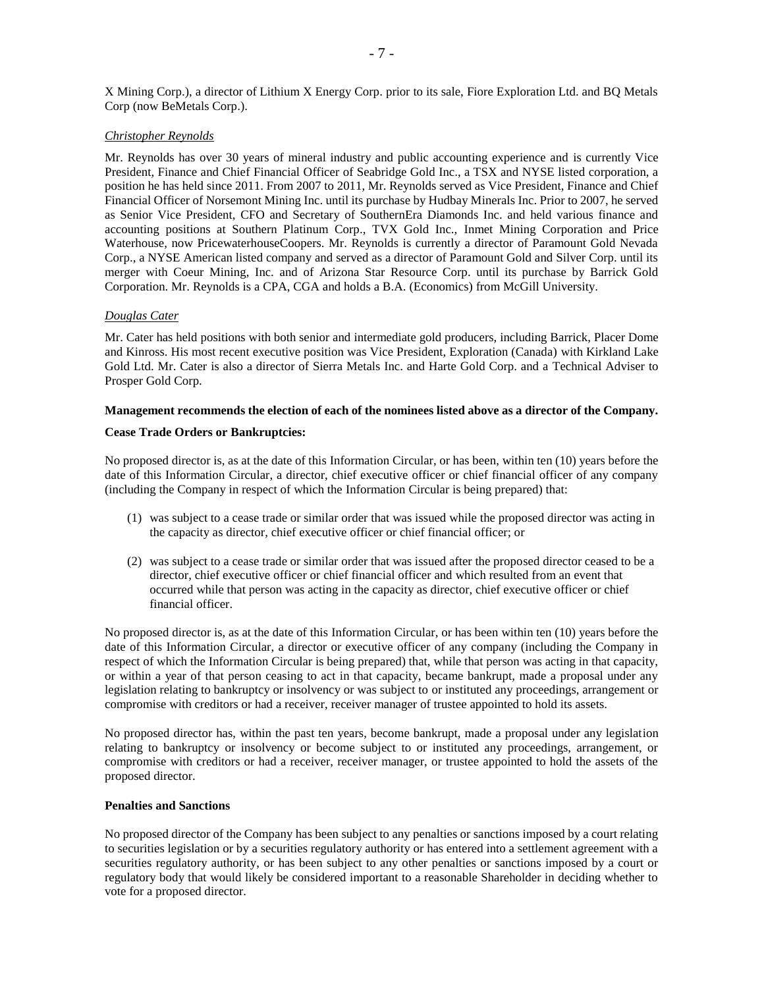X Mining Corp.), a director of Lithium X Energy Corp. prior to its sale, Fiore Exploration Ltd. and BQ Metals Corp (now BeMetals Corp.).

### *Christopher Reynolds*

Mr. Reynolds has over 30 years of mineral industry and public accounting experience and is currently Vice President, Finance and Chief Financial Officer of Seabridge Gold Inc., a TSX and NYSE listed corporation, a position he has held since 2011. From 2007 to 2011, Mr. Reynolds served as Vice President, Finance and Chief Financial Officer of Norsemont Mining Inc. until its purchase by Hudbay Minerals Inc. Prior to 2007, he served as Senior Vice President, CFO and Secretary of SouthernEra Diamonds Inc. and held various finance and accounting positions at Southern Platinum Corp., TVX Gold Inc., Inmet Mining Corporation and Price Waterhouse, now PricewaterhouseCoopers. Mr. Reynolds is currently a director of Paramount Gold Nevada Corp., a NYSE American listed company and served as a director of Paramount Gold and Silver Corp. until its merger with Coeur Mining, Inc. and of Arizona Star Resource Corp. until its purchase by Barrick Gold Corporation. Mr. Reynolds is a CPA, CGA and holds a B.A. (Economics) from McGill University.

### *Douglas Cater*

Mr. Cater has held positions with both senior and intermediate gold producers, including Barrick, Placer Dome and Kinross. His most recent executive position was Vice President, Exploration (Canada) with Kirkland Lake Gold Ltd. Mr. Cater is also a director of Sierra Metals Inc. and Harte Gold Corp. and a Technical Adviser to Prosper Gold Corp.

## **Management recommends the election of each of the nominees listed above as a director of the Company.**

### **Cease Trade Orders or Bankruptcies:**

No proposed director is, as at the date of this Information Circular, or has been, within ten (10) years before the date of this Information Circular, a director, chief executive officer or chief financial officer of any company (including the Company in respect of which the Information Circular is being prepared) that:

- (1) was subject to a cease trade or similar order that was issued while the proposed director was acting in the capacity as director, chief executive officer or chief financial officer; or
- (2) was subject to a cease trade or similar order that was issued after the proposed director ceased to be a director, chief executive officer or chief financial officer and which resulted from an event that occurred while that person was acting in the capacity as director, chief executive officer or chief financial officer.

No proposed director is, as at the date of this Information Circular, or has been within ten (10) years before the date of this Information Circular, a director or executive officer of any company (including the Company in respect of which the Information Circular is being prepared) that, while that person was acting in that capacity, or within a year of that person ceasing to act in that capacity, became bankrupt, made a proposal under any legislation relating to bankruptcy or insolvency or was subject to or instituted any proceedings, arrangement or compromise with creditors or had a receiver, receiver manager of trustee appointed to hold its assets.

No proposed director has, within the past ten years, become bankrupt, made a proposal under any legislation relating to bankruptcy or insolvency or become subject to or instituted any proceedings, arrangement, or compromise with creditors or had a receiver, receiver manager, or trustee appointed to hold the assets of the proposed director.

#### **Penalties and Sanctions**

No proposed director of the Company has been subject to any penalties or sanctions imposed by a court relating to securities legislation or by a securities regulatory authority or has entered into a settlement agreement with a securities regulatory authority, or has been subject to any other penalties or sanctions imposed by a court or regulatory body that would likely be considered important to a reasonable Shareholder in deciding whether to vote for a proposed director.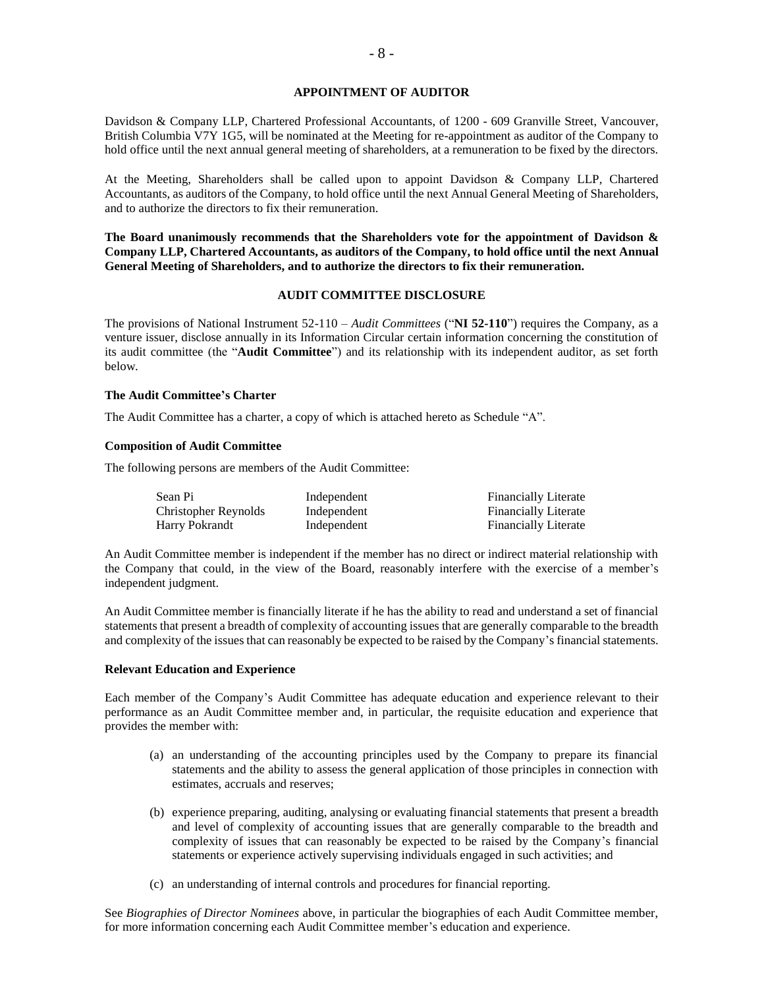### **APPOINTMENT OF AUDITOR**

Davidson & Company LLP, Chartered Professional Accountants, of 1200 - 609 Granville Street, Vancouver, British Columbia V7Y 1G5, will be nominated at the Meeting for re-appointment as auditor of the Company to hold office until the next annual general meeting of shareholders, at a remuneration to be fixed by the directors.

At the Meeting, Shareholders shall be called upon to appoint Davidson & Company LLP, Chartered Accountants, as auditors of the Company, to hold office until the next Annual General Meeting of Shareholders, and to authorize the directors to fix their remuneration.

**The Board unanimously recommends that the Shareholders vote for the appointment of Davidson & Company LLP, Chartered Accountants, as auditors of the Company, to hold office until the next Annual General Meeting of Shareholders, and to authorize the directors to fix their remuneration.** 

## **AUDIT COMMITTEE DISCLOSURE**

The provisions of National Instrument 52-110 – *Audit Committees* ("**NI 52-110**") requires the Company, as a venture issuer, disclose annually in its Information Circular certain information concerning the constitution of its audit committee (the "**Audit Committee**") and its relationship with its independent auditor, as set forth below.

### **The Audit Committee's Charter**

The Audit Committee has a charter, a copy of which is attached hereto as Schedule "A".

### **Composition of Audit Committee**

The following persons are members of the Audit Committee:

| Sean Pi              | Independent | <b>Financially Literate</b> |
|----------------------|-------------|-----------------------------|
| Christopher Reynolds | Independent | <b>Financially Literate</b> |
| Harry Pokrandt       | Independent | <b>Financially Literate</b> |

An Audit Committee member is independent if the member has no direct or indirect material relationship with the Company that could, in the view of the Board, reasonably interfere with the exercise of a member's independent judgment.

An Audit Committee member is financially literate if he has the ability to read and understand a set of financial statements that present a breadth of complexity of accounting issues that are generally comparable to the breadth and complexity of the issues that can reasonably be expected to be raised by the Company's financial statements.

#### **Relevant Education and Experience**

Each member of the Company's Audit Committee has adequate education and experience relevant to their performance as an Audit Committee member and, in particular, the requisite education and experience that provides the member with:

- (a) an understanding of the accounting principles used by the Company to prepare its financial statements and the ability to assess the general application of those principles in connection with estimates, accruals and reserves;
- (b) experience preparing, auditing, analysing or evaluating financial statements that present a breadth and level of complexity of accounting issues that are generally comparable to the breadth and complexity of issues that can reasonably be expected to be raised by the Company's financial statements or experience actively supervising individuals engaged in such activities; and
- (c) an understanding of internal controls and procedures for financial reporting.

See *Biographies of Director Nominees* above, in particular the biographies of each Audit Committee member, for more information concerning each Audit Committee member's education and experience.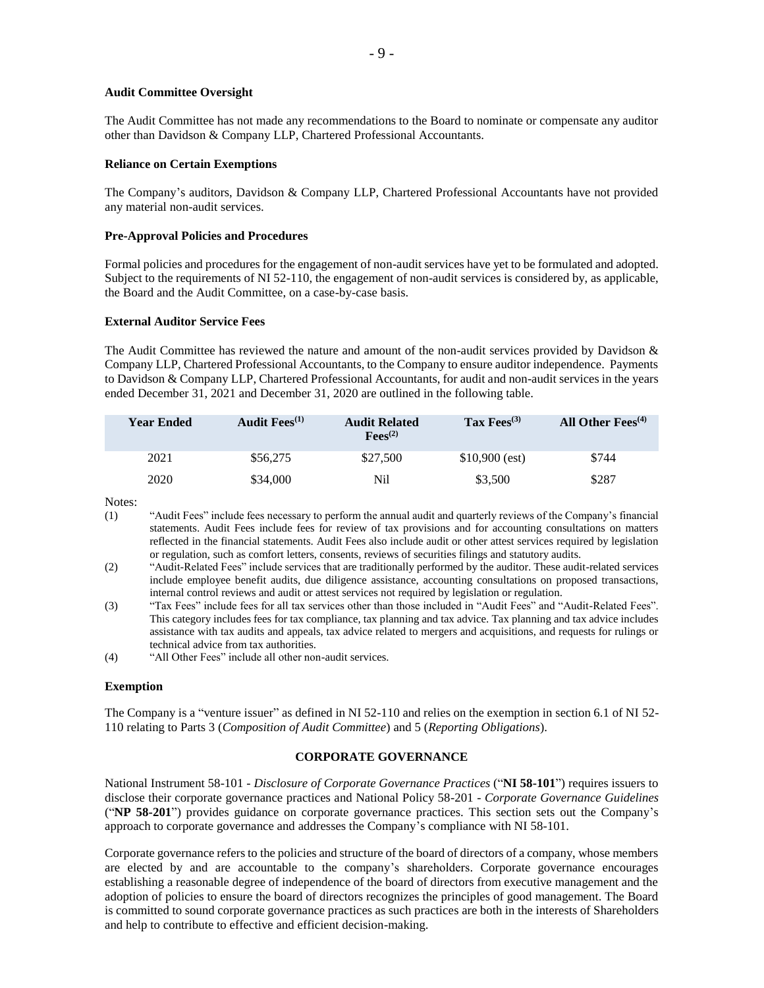### **Audit Committee Oversight**

The Audit Committee has not made any recommendations to the Board to nominate or compensate any auditor other than Davidson & Company LLP, Chartered Professional Accountants.

#### **Reliance on Certain Exemptions**

The Company's auditors, Davidson & Company LLP, Chartered Professional Accountants have not provided any material non-audit services.

## **Pre-Approval Policies and Procedures**

Formal policies and procedures for the engagement of non-audit services have yet to be formulated and adopted. Subject to the requirements of NI 52-110, the engagement of non-audit services is considered by, as applicable, the Board and the Audit Committee, on a case-by-case basis.

### **External Auditor Service Fees**

The Audit Committee has reviewed the nature and amount of the non-audit services provided by Davidson & Company LLP, Chartered Professional Accountants, to the Company to ensure auditor independence. Payments to Davidson & Company LLP, Chartered Professional Accountants, for audit and non-audit services in the years ended December 31, 2021 and December 31, 2020 are outlined in the following table.

| <b>Year Ended</b> | Audit $Fees^{(1)}$ | <b>Audit Related</b><br>$\text{Fees}^{(2)}$ | Tax $Fess^{(3)}$ | All Other $Fees^{(4)}$ |
|-------------------|--------------------|---------------------------------------------|------------------|------------------------|
| 2021              | \$56,275           | \$27,500                                    | $$10,900$ (est)  | \$744                  |
| 2020              | \$34,000           | Nil                                         | \$3,500          | \$287                  |

Notes:

- (1) "Audit Fees" include fees necessary to perform the annual audit and quarterly reviews of the Company's financial statements. Audit Fees include fees for review of tax provisions and for accounting consultations on matters reflected in the financial statements. Audit Fees also include audit or other attest services required by legislation or regulation, such as comfort letters, consents, reviews of securities filings and statutory audits.
- (2) "Audit-Related Fees" include services that are traditionally performed by the auditor. These audit-related services include employee benefit audits, due diligence assistance, accounting consultations on proposed transactions, internal control reviews and audit or attest services not required by legislation or regulation.
- (3) "Tax Fees" include fees for all tax services other than those included in "Audit Fees" and "Audit-Related Fees". This category includes fees for tax compliance, tax planning and tax advice. Tax planning and tax advice includes assistance with tax audits and appeals, tax advice related to mergers and acquisitions, and requests for rulings or technical advice from tax authorities.
- (4) "All Other Fees" include all other non-audit services.

### **Exemption**

The Company is a "venture issuer" as defined in NI 52-110 and relies on the exemption in section 6.1 of NI 52- 110 relating to Parts 3 (*Composition of Audit Committee*) and 5 (*Reporting Obligations*).

### **CORPORATE GOVERNANCE**

National Instrument 58-101 - *Disclosure of Corporate Governance Practices* ("**NI 58-101**") requires issuers to disclose their corporate governance practices and National Policy 58-201 - *Corporate Governance Guidelines* ("**NP 58-201**") provides guidance on corporate governance practices. This section sets out the Company's approach to corporate governance and addresses the Company's compliance with NI 58-101.

Corporate governance refers to the policies and structure of the board of directors of a company, whose members are elected by and are accountable to the company's shareholders. Corporate governance encourages establishing a reasonable degree of independence of the board of directors from executive management and the adoption of policies to ensure the board of directors recognizes the principles of good management. The Board is committed to sound corporate governance practices as such practices are both in the interests of Shareholders and help to contribute to effective and efficient decision-making.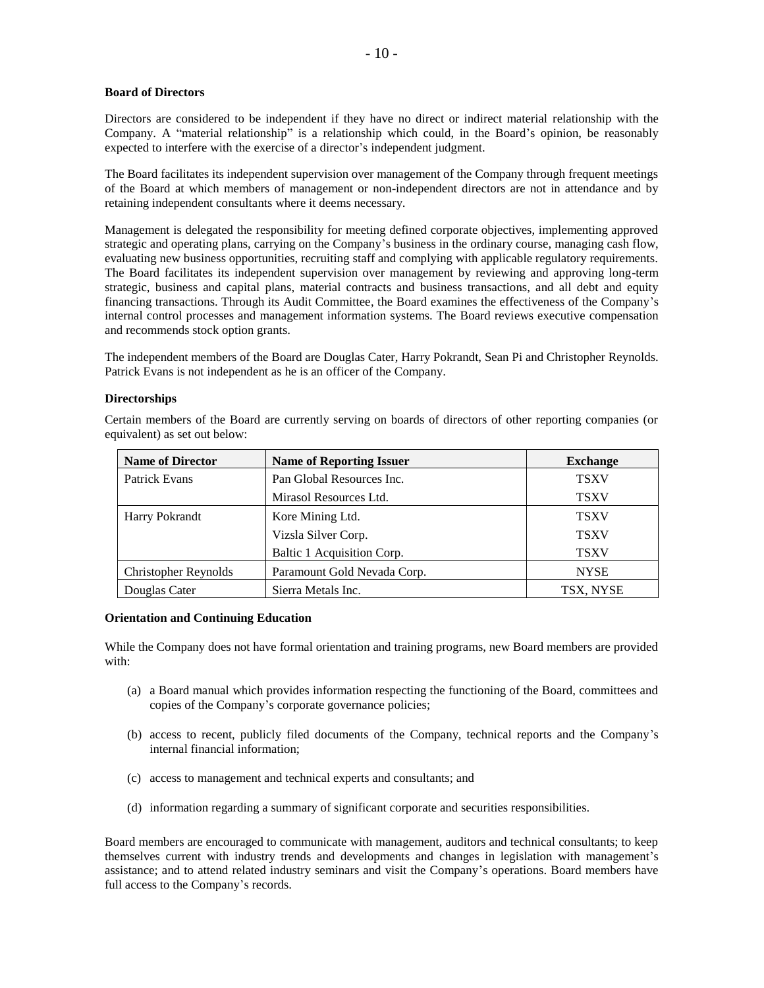### **Board of Directors**

Directors are considered to be independent if they have no direct or indirect material relationship with the Company. A "material relationship" is a relationship which could, in the Board's opinion, be reasonably expected to interfere with the exercise of a director's independent judgment.

The Board facilitates its independent supervision over management of the Company through frequent meetings of the Board at which members of management or non-independent directors are not in attendance and by retaining independent consultants where it deems necessary.

Management is delegated the responsibility for meeting defined corporate objectives, implementing approved strategic and operating plans, carrying on the Company's business in the ordinary course, managing cash flow, evaluating new business opportunities, recruiting staff and complying with applicable regulatory requirements. The Board facilitates its independent supervision over management by reviewing and approving long-term strategic, business and capital plans, material contracts and business transactions, and all debt and equity financing transactions. Through its Audit Committee, the Board examines the effectiveness of the Company's internal control processes and management information systems. The Board reviews executive compensation and recommends stock option grants.

The independent members of the Board are Douglas Cater, Harry Pokrandt, Sean Pi and Christopher Reynolds. Patrick Evans is not independent as he is an officer of the Company.

### **Directorships**

Certain members of the Board are currently serving on boards of directors of other reporting companies (or equivalent) as set out below:

| <b>Name of Director</b>     | <b>Name of Reporting Issuer</b> | <b>Exchange</b> |
|-----------------------------|---------------------------------|-----------------|
| Patrick Evans               | Pan Global Resources Inc.       | <b>TSXV</b>     |
|                             | Mirasol Resources Ltd.          | <b>TSXV</b>     |
| <b>Harry Pokrandt</b>       | Kore Mining Ltd.                | <b>TSXV</b>     |
|                             | Vizsla Silver Corp.             | <b>TSXV</b>     |
|                             | Baltic 1 Acquisition Corp.      | <b>TSXV</b>     |
| <b>Christopher Reynolds</b> | Paramount Gold Nevada Corp.     | <b>NYSE</b>     |
| Douglas Cater               | Sierra Metals Inc.              | TSX, NYSE       |

#### **Orientation and Continuing Education**

While the Company does not have formal orientation and training programs, new Board members are provided with:

- (a) a Board manual which provides information respecting the functioning of the Board, committees and copies of the Company's corporate governance policies;
- (b) access to recent, publicly filed documents of the Company, technical reports and the Company's internal financial information;
- (c) access to management and technical experts and consultants; and
- (d) information regarding a summary of significant corporate and securities responsibilities.

Board members are encouraged to communicate with management, auditors and technical consultants; to keep themselves current with industry trends and developments and changes in legislation with management's assistance; and to attend related industry seminars and visit the Company's operations. Board members have full access to the Company's records.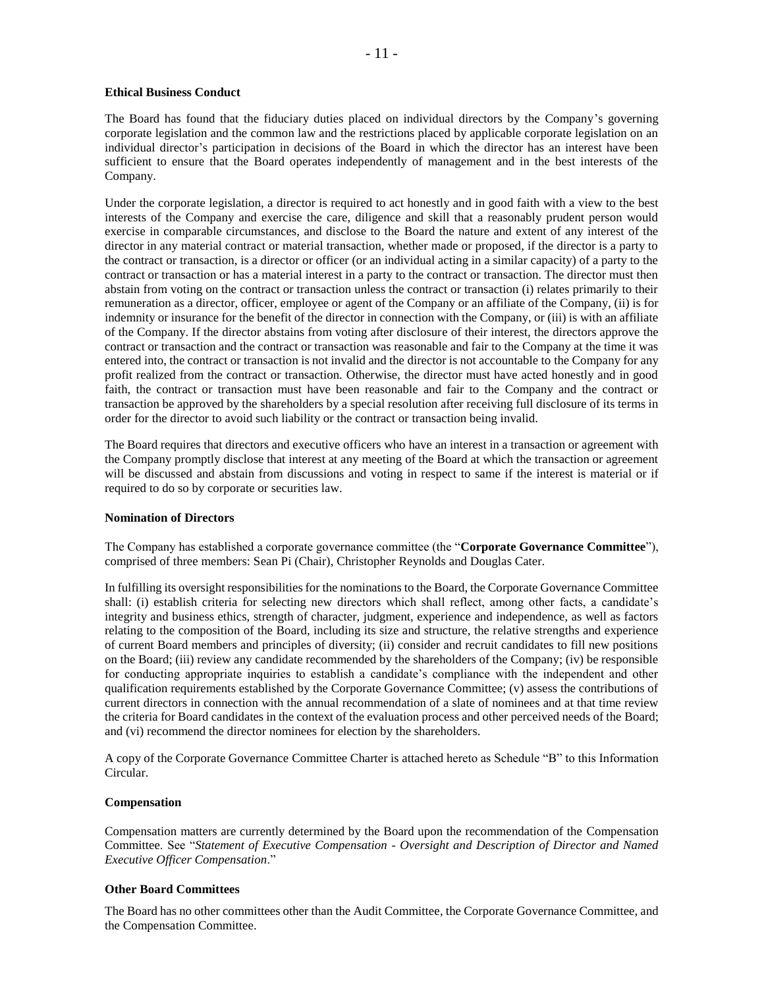### **Ethical Business Conduct**

The Board has found that the fiduciary duties placed on individual directors by the Company's governing corporate legislation and the common law and the restrictions placed by applicable corporate legislation on an individual director's participation in decisions of the Board in which the director has an interest have been sufficient to ensure that the Board operates independently of management and in the best interests of the Company.

Under the corporate legislation, a director is required to act honestly and in good faith with a view to the best interests of the Company and exercise the care, diligence and skill that a reasonably prudent person would exercise in comparable circumstances, and disclose to the Board the nature and extent of any interest of the director in any material contract or material transaction, whether made or proposed, if the director is a party to the contract or transaction, is a director or officer (or an individual acting in a similar capacity) of a party to the contract or transaction or has a material interest in a party to the contract or transaction. The director must then abstain from voting on the contract or transaction unless the contract or transaction (i) relates primarily to their remuneration as a director, officer, employee or agent of the Company or an affiliate of the Company, (ii) is for indemnity or insurance for the benefit of the director in connection with the Company, or (iii) is with an affiliate of the Company. If the director abstains from voting after disclosure of their interest, the directors approve the contract or transaction and the contract or transaction was reasonable and fair to the Company at the time it was entered into, the contract or transaction is not invalid and the director is not accountable to the Company for any profit realized from the contract or transaction. Otherwise, the director must have acted honestly and in good faith, the contract or transaction must have been reasonable and fair to the Company and the contract or transaction be approved by the shareholders by a special resolution after receiving full disclosure of its terms in order for the director to avoid such liability or the contract or transaction being invalid.

The Board requires that directors and executive officers who have an interest in a transaction or agreement with the Company promptly disclose that interest at any meeting of the Board at which the transaction or agreement will be discussed and abstain from discussions and voting in respect to same if the interest is material or if required to do so by corporate or securities law.

### **Nomination of Directors**

The Company has established a corporate governance committee (the "**Corporate Governance Committee**"), comprised of three members: Sean Pi (Chair), Christopher Reynolds and Douglas Cater.

In fulfilling its oversight responsibilities for the nominations to the Board, the Corporate Governance Committee shall: (i) establish criteria for selecting new directors which shall reflect, among other facts, a candidate's integrity and business ethics, strength of character, judgment, experience and independence, as well as factors relating to the composition of the Board, including its size and structure, the relative strengths and experience of current Board members and principles of diversity; (ii) consider and recruit candidates to fill new positions on the Board; (iii) review any candidate recommended by the shareholders of the Company; (iv) be responsible for conducting appropriate inquiries to establish a candidate's compliance with the independent and other qualification requirements established by the Corporate Governance Committee; (v) assess the contributions of current directors in connection with the annual recommendation of a slate of nominees and at that time review the criteria for Board candidates in the context of the evaluation process and other perceived needs of the Board; and (vi) recommend the director nominees for election by the shareholders.

A copy of the Corporate Governance Committee Charter is attached hereto as Schedule "B" to this Information Circular.

### **Compensation**

Compensation matters are currently determined by the Board upon the recommendation of the Compensation Committee. See "*Statement of Executive Compensation - Oversight and Description of Director and Named Executive Officer Compensation*."

### **Other Board Committees**

The Board has no other committees other than the Audit Committee, the Corporate Governance Committee, and the Compensation Committee.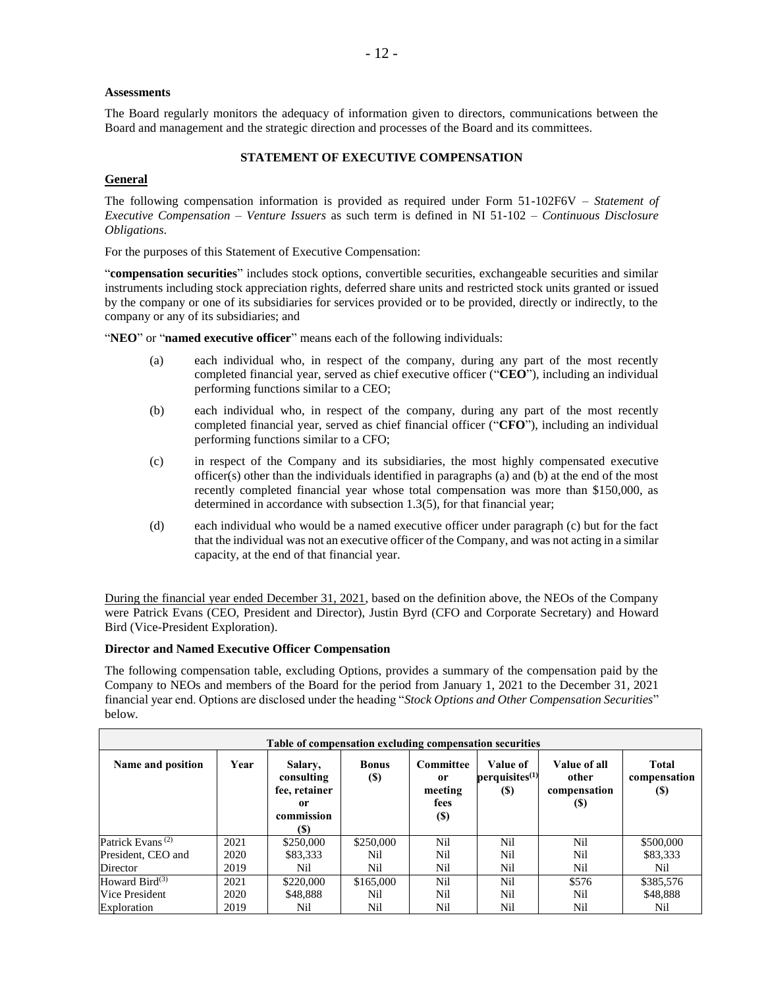## **Assessments**

The Board regularly monitors the adequacy of information given to directors, communications between the Board and management and the strategic direction and processes of the Board and its committees.

# **STATEMENT OF EXECUTIVE COMPENSATION**

# **General**

The following compensation information is provided as required under Form 51-102F6V – *Statement of Executive Compensation – Venture Issuers* as such term is defined in NI 51-102 – *Continuous Disclosure Obligations*.

For the purposes of this Statement of Executive Compensation:

"**compensation securities**" includes stock options, convertible securities, exchangeable securities and similar instruments including stock appreciation rights, deferred share units and restricted stock units granted or issued by the company or one of its subsidiaries for services provided or to be provided, directly or indirectly, to the company or any of its subsidiaries; and

"**NEO**" or "**named executive officer**" means each of the following individuals:

- (a) each individual who, in respect of the company, during any part of the most recently completed financial year, served as chief executive officer ("**CEO**"), including an individual performing functions similar to a CEO;
- (b) each individual who, in respect of the company, during any part of the most recently completed financial year, served as chief financial officer ("**CFO**"), including an individual performing functions similar to a CFO;
- (c) in respect of the Company and its subsidiaries, the most highly compensated executive officer(s) other than the individuals identified in paragraphs (a) and (b) at the end of the most recently completed financial year whose total compensation was more than \$150,000, as determined in accordance with subsection 1.3(5), for that financial year;
- (d) each individual who would be a named executive officer under paragraph (c) but for the fact that the individual was not an executive officer of the Company, and was not acting in a similar capacity, at the end of that financial year.

During the financial year ended December 31, 2021, based on the definition above, the NEOs of the Company were Patrick Evans (CEO, President and Director), Justin Byrd (CFO and Corporate Secretary) and Howard Bird (Vice-President Exploration).

# **Director and Named Executive Officer Compensation**

The following compensation table, excluding Options, provides a summary of the compensation paid by the Company to NEOs and members of the Board for the period from January 1, 2021 to the December 31, 2021 financial year end. Options are disclosed under the heading "*Stock Options and Other Compensation Securities*" below.

| Table of compensation excluding compensation securities |      |                                                                   |                                            |                                                              |                                               |                                              |                              |
|---------------------------------------------------------|------|-------------------------------------------------------------------|--------------------------------------------|--------------------------------------------------------------|-----------------------------------------------|----------------------------------------------|------------------------------|
| Name and position                                       | Year | Salary,<br>consulting<br>fee, retainer<br>or<br>commission<br>(S) | <b>Bonus</b><br>$\left( \mathbb{S}\right)$ | Committee<br><sub>or</sub><br>meeting<br>fees<br><b>(\$)</b> | Value of<br>perquistics <sup>(1)</sup><br>(S) | Value of all<br>other<br>compensation<br>(S) | Total<br>compensation<br>(S) |
| Patrick Evans <sup>(2)</sup>                            | 2021 | \$250,000                                                         | \$250,000                                  | Nil                                                          | Nil                                           | Nil                                          | \$500,000                    |
| President, CEO and                                      | 2020 | \$83,333                                                          | Nil                                        | Nil                                                          | Nil                                           | Nil                                          | \$83,333                     |
| Director                                                | 2019 | Nil                                                               | Nil                                        | Nil                                                          | Nil                                           | Nil                                          | Nil                          |
| Howard Bird $(3)$                                       | 2021 | \$220,000                                                         | \$165,000                                  | Nil                                                          | Nil                                           | \$576                                        | \$385,576                    |
| Vice President                                          | 2020 | \$48,888                                                          | Nil                                        | Nil                                                          | Nil                                           | Nil                                          | \$48,888                     |
| Exploration                                             | 2019 | Nil                                                               | Nil                                        | Nil                                                          | Nil                                           | Nil                                          | Nil                          |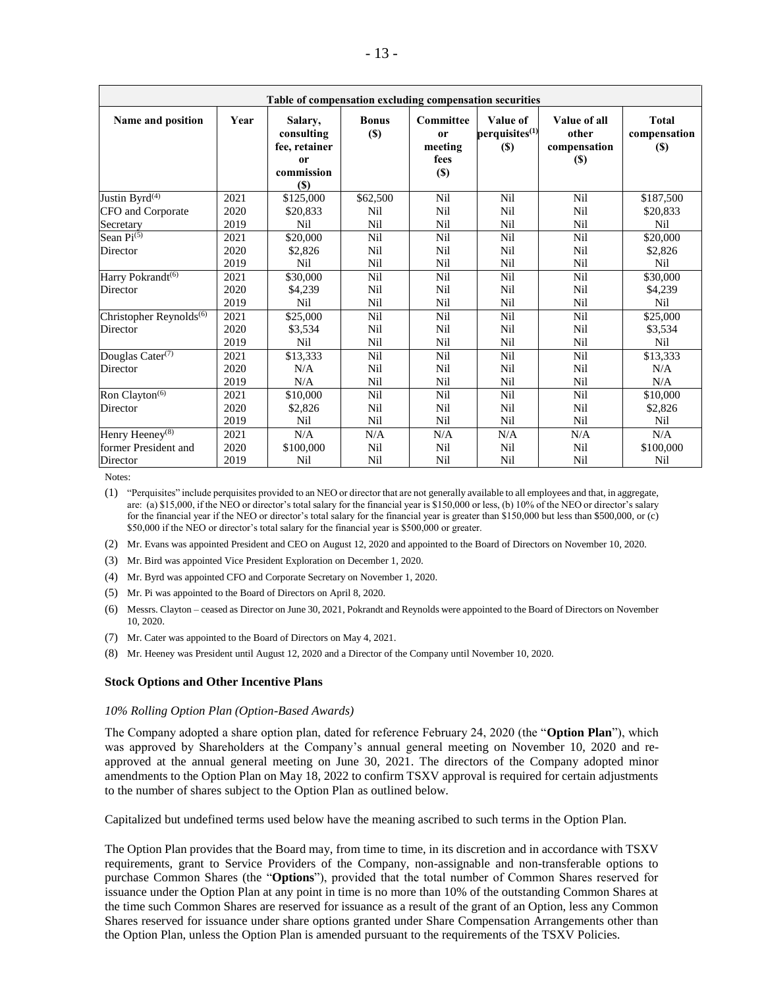| Table of compensation excluding compensation securities |      |                                                                                 |                        |                                                             |                                                  |                                              |                                        |
|---------------------------------------------------------|------|---------------------------------------------------------------------------------|------------------------|-------------------------------------------------------------|--------------------------------------------------|----------------------------------------------|----------------------------------------|
| Name and position                                       | Year | Salary,<br>consulting<br>fee, retainer<br><sub>or</sub><br>commission<br>$(\$)$ | <b>Bonus</b><br>$(\$)$ | <b>Committee</b><br><sub>or</sub><br>meeting<br>fees<br>(S) | Value of<br>perquisites <sup>(1)</sup><br>$(\$)$ | Value of all<br>other<br>compensation<br>(S) | <b>Total</b><br>compensation<br>$(\$)$ |
| Justin Byr $\overline{d^{(4)}}$                         | 2021 | \$125,000                                                                       | \$62,500               | Nil                                                         | Nil                                              | Nil                                          | \$187,500                              |
| CFO and Corporate                                       | 2020 | \$20,833                                                                        | Nil                    | Nil                                                         | Nil                                              | Nil                                          | \$20,833                               |
| Secretary                                               | 2019 | Nil                                                                             | Nil                    | Nil                                                         | Nil                                              | Nil                                          | Nil                                    |
| Sean $Pi^{(5)}$                                         | 2021 | \$20,000                                                                        | Nil                    | Nil                                                         | Nil                                              | Nil                                          | \$20,000                               |
| Director                                                | 2020 | \$2,826                                                                         | Nil                    | Nil                                                         | Nil                                              | Nil                                          | \$2,826                                |
|                                                         | 2019 | Nil                                                                             | Nil                    | Nil                                                         | Nil                                              | Nil                                          | Nil                                    |
| Harry Pokrandt <sup>(6)</sup>                           | 2021 | \$30,000                                                                        | Nil                    | Nil                                                         | Nil                                              | Nil                                          | \$30,000                               |
| Director                                                | 2020 | \$4,239                                                                         | Nil                    | Nil                                                         | Nil                                              | Nil                                          | \$4,239                                |
|                                                         | 2019 | Nil                                                                             | Nil                    | Nil                                                         | Nil                                              | Nil                                          | Nil                                    |
| Christopher Reynolds <sup>(6)</sup>                     | 2021 | \$25,000                                                                        | Nil                    | Nil                                                         | Nil                                              | Nil                                          | \$25,000                               |
| Director                                                | 2020 | \$3,534                                                                         | Nil                    | Nil                                                         | Nil                                              | Nil                                          | \$3,534                                |
|                                                         | 2019 | Nil                                                                             | Nil                    | Nil                                                         | Nil                                              | Nil                                          | Nil                                    |
| Douglas Cater <sup>(7)</sup>                            | 2021 | \$13,333                                                                        | Nil                    | Nil                                                         | Nil                                              | Nil                                          | \$13,333                               |
| Director                                                | 2020 | N/A                                                                             | Nil                    | Nil                                                         | Nil                                              | Nil                                          | N/A                                    |
|                                                         | 2019 | N/A                                                                             | Nil                    | Nil                                                         | Nil                                              | Nil                                          | N/A                                    |
| Ron Clayton <sup>(6)</sup>                              | 2021 | \$10,000                                                                        | Nil                    | Nil                                                         | Nil                                              | Nil                                          | \$10,000                               |
| Director                                                | 2020 | \$2,826                                                                         | Nil                    | Nil                                                         | Nil                                              | Nil                                          | \$2,826                                |
|                                                         | 2019 | <b>Nil</b>                                                                      | Nil                    | Nil                                                         | Nil                                              | Nil                                          | Nil                                    |
| Henry Heeney <sup>(8)</sup>                             | 2021 | N/A                                                                             | N/A                    | N/A                                                         | N/A                                              | N/A                                          | N/A                                    |
| former President and                                    | 2020 | \$100,000                                                                       | Nil                    | Nil                                                         | Nil                                              | Nil                                          | \$100,000                              |
| Director                                                | 2019 | Nil                                                                             | Nil                    | Nil                                                         | Nil                                              | Nil                                          | Nil                                    |

Notes:

(1) "Perquisites" include perquisites provided to an NEO or director that are not generally available to all employees and that, in aggregate, are: (a) \$15,000, if the NEO or director's total salary for the financial year is \$150,000 or less, (b) 10% of the NEO or director's salary for the financial year if the NEO or director's total salary for the financial year is greater than \$150,000 but less than \$500,000, or (c) \$50,000 if the NEO or director's total salary for the financial year is \$500,000 or greater.

(2) Mr. Evans was appointed President and CEO on August 12, 2020 and appointed to the Board of Directors on November 10, 2020.

- (3) Mr. Bird was appointed Vice President Exploration on December 1, 2020.
- (4) Mr. Byrd was appointed CFO and Corporate Secretary on November 1, 2020.
- (5) Mr. Pi was appointed to the Board of Directors on April 8, 2020.
- (6) Messrs. Clayton ceased as Director on June 30, 2021, Pokrandt and Reynolds were appointed to the Board of Directors on November 10, 2020.
- (7) Mr. Cater was appointed to the Board of Directors on May 4, 2021.
- (8) Mr. Heeney was President until August 12, 2020 and a Director of the Company until November 10, 2020.

#### **Stock Options and Other Incentive Plans**

#### *10% Rolling Option Plan (Option-Based Awards)*

The Company adopted a share option plan, dated for reference February 24, 2020 (the "**Option Plan**"), which was approved by Shareholders at the Company's annual general meeting on November 10, 2020 and reapproved at the annual general meeting on June 30, 2021. The directors of the Company adopted minor amendments to the Option Plan on May 18, 2022 to confirm TSXV approval is required for certain adjustments to the number of shares subject to the Option Plan as outlined below.

Capitalized but undefined terms used below have the meaning ascribed to such terms in the Option Plan.

The Option Plan provides that the Board may, from time to time, in its discretion and in accordance with TSXV requirements, grant to Service Providers of the Company, non-assignable and non-transferable options to purchase Common Shares (the "**Options**"), provided that the total number of Common Shares reserved for issuance under the Option Plan at any point in time is no more than 10% of the outstanding Common Shares at the time such Common Shares are reserved for issuance as a result of the grant of an Option, less any Common Shares reserved for issuance under share options granted under Share Compensation Arrangements other than the Option Plan, unless the Option Plan is amended pursuant to the requirements of the TSXV Policies.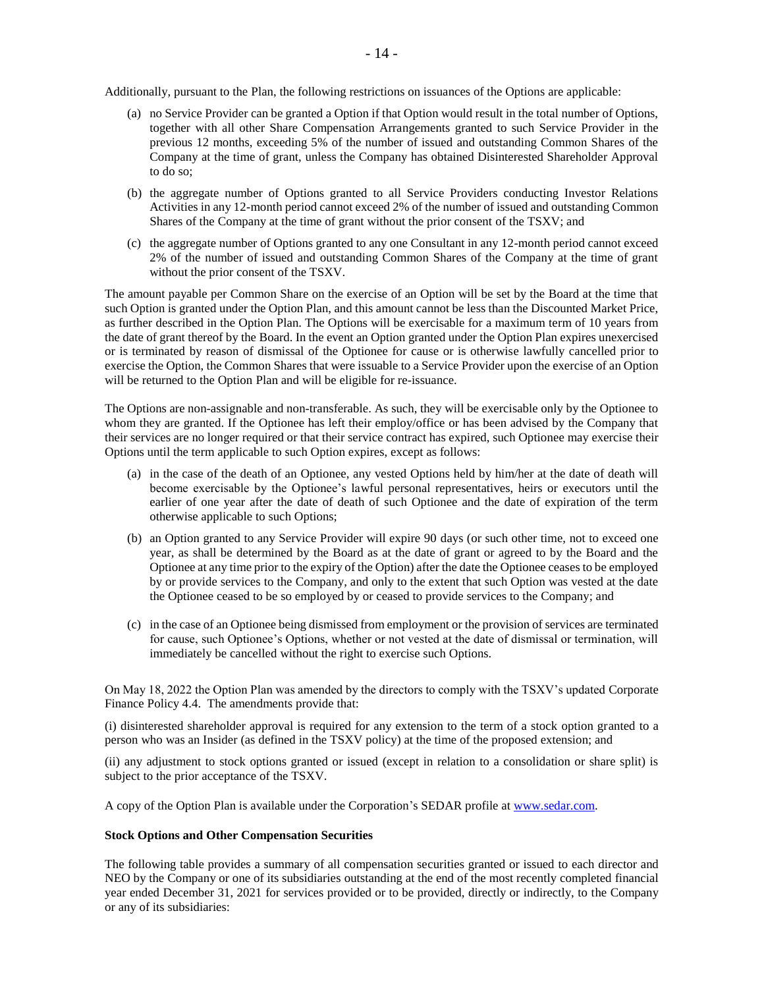Additionally, pursuant to the Plan, the following restrictions on issuances of the Options are applicable:

- (a) no Service Provider can be granted a Option if that Option would result in the total number of Options, together with all other Share Compensation Arrangements granted to such Service Provider in the previous 12 months, exceeding 5% of the number of issued and outstanding Common Shares of the Company at the time of grant, unless the Company has obtained Disinterested Shareholder Approval to do so;
- (b) the aggregate number of Options granted to all Service Providers conducting Investor Relations Activities in any 12-month period cannot exceed 2% of the number of issued and outstanding Common Shares of the Company at the time of grant without the prior consent of the TSXV; and
- (c) the aggregate number of Options granted to any one Consultant in any 12-month period cannot exceed 2% of the number of issued and outstanding Common Shares of the Company at the time of grant without the prior consent of the TSXV.

The amount payable per Common Share on the exercise of an Option will be set by the Board at the time that such Option is granted under the Option Plan, and this amount cannot be less than the Discounted Market Price, as further described in the Option Plan. The Options will be exercisable for a maximum term of 10 years from the date of grant thereof by the Board. In the event an Option granted under the Option Plan expires unexercised or is terminated by reason of dismissal of the Optionee for cause or is otherwise lawfully cancelled prior to exercise the Option, the Common Shares that were issuable to a Service Provider upon the exercise of an Option will be returned to the Option Plan and will be eligible for re-issuance.

The Options are non-assignable and non-transferable. As such, they will be exercisable only by the Optionee to whom they are granted. If the Optionee has left their employ/office or has been advised by the Company that their services are no longer required or that their service contract has expired, such Optionee may exercise their Options until the term applicable to such Option expires, except as follows:

- (a) in the case of the death of an Optionee, any vested Options held by him/her at the date of death will become exercisable by the Optionee's lawful personal representatives, heirs or executors until the earlier of one year after the date of death of such Optionee and the date of expiration of the term otherwise applicable to such Options;
- (b) an Option granted to any Service Provider will expire 90 days (or such other time, not to exceed one year, as shall be determined by the Board as at the date of grant or agreed to by the Board and the Optionee at any time prior to the expiry of the Option) after the date the Optionee ceases to be employed by or provide services to the Company, and only to the extent that such Option was vested at the date the Optionee ceased to be so employed by or ceased to provide services to the Company; and
- (c) in the case of an Optionee being dismissed from employment or the provision of services are terminated for cause, such Optionee's Options, whether or not vested at the date of dismissal or termination, will immediately be cancelled without the right to exercise such Options.

On May 18, 2022 the Option Plan was amended by the directors to comply with the TSXV's updated Corporate Finance Policy 4.4. The amendments provide that:

(i) disinterested shareholder approval is required for any extension to the term of a stock option granted to a person who was an Insider (as defined in the TSXV policy) at the time of the proposed extension; and

(ii) any adjustment to stock options granted or issued (except in relation to a consolidation or share split) is subject to the prior acceptance of the TSXV.

A copy of the Option Plan is available under the Corporation's SEDAR profile a[t www.sedar.com.](http://www.sedar.com/)

#### **Stock Options and Other Compensation Securities**

The following table provides a summary of all compensation securities granted or issued to each director and NEO by the Company or one of its subsidiaries outstanding at the end of the most recently completed financial year ended December 31, 2021 for services provided or to be provided, directly or indirectly, to the Company or any of its subsidiaries: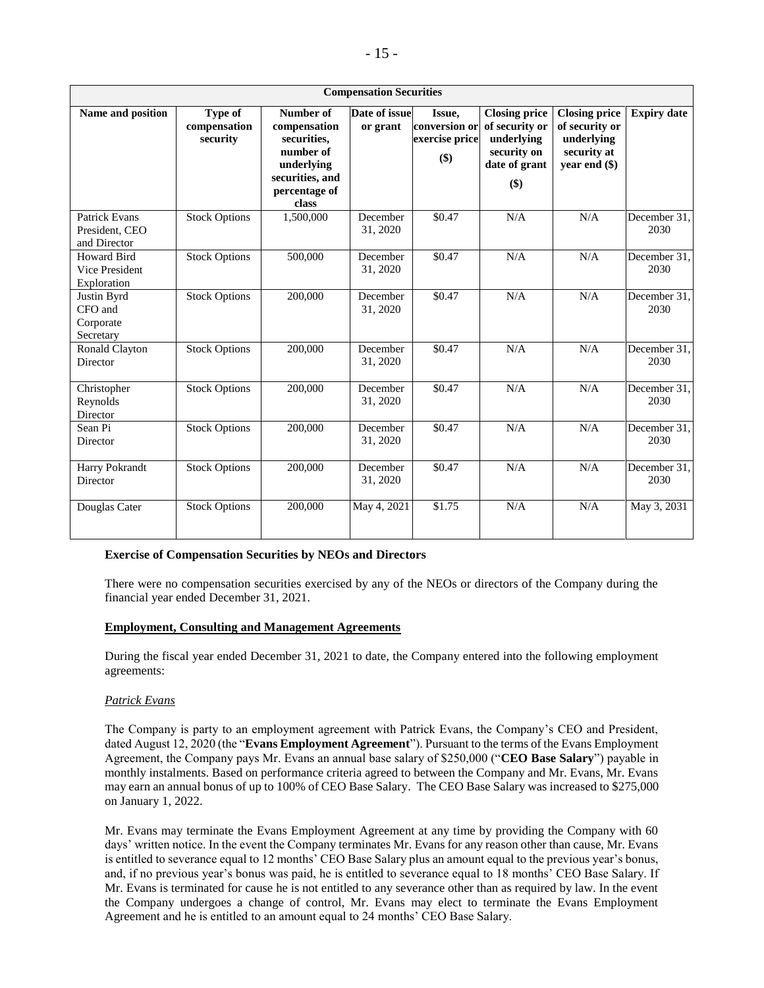| <b>Compensation Securities</b>                         |                                     |                                                                                                                         |                           |                                                  |                                                                                                |                                                                                      |                      |
|--------------------------------------------------------|-------------------------------------|-------------------------------------------------------------------------------------------------------------------------|---------------------------|--------------------------------------------------|------------------------------------------------------------------------------------------------|--------------------------------------------------------------------------------------|----------------------|
| Name and position                                      | Type of<br>compensation<br>security | <b>Number of</b><br>compensation<br>securities,<br>number of<br>underlying<br>securities, and<br>percentage of<br>class | Date of issue<br>or grant | Issue,<br>conversion or<br>exercise price<br>\$) | <b>Closing price</b><br>of security or<br>underlying<br>security on<br>date of grant<br>$(\$)$ | <b>Closing price</b><br>of security or<br>underlying<br>security at<br>year end (\$) | <b>Expiry date</b>   |
| <b>Patrick Evans</b><br>President, CEO<br>and Director | <b>Stock Options</b>                | 1,500,000                                                                                                               | December<br>31, 2020      | \$0.47                                           | N/A                                                                                            | N/A                                                                                  | December 31,<br>2030 |
| Howard Bird<br>Vice President<br>Exploration           | <b>Stock Options</b>                | 500,000                                                                                                                 | December<br>31, 2020      | \$0.47                                           | N/A                                                                                            | N/A                                                                                  | December 31,<br>2030 |
| Justin Byrd<br>CFO and<br>Corporate<br>Secretary       | <b>Stock Options</b>                | 200,000                                                                                                                 | December<br>31, 2020      | \$0.47                                           | N/A                                                                                            | N/A                                                                                  | December 31,<br>2030 |
| Ronald Clayton<br>Director                             | <b>Stock Options</b>                | 200,000                                                                                                                 | December<br>31, 2020      | \$0.47                                           | N/A                                                                                            | N/A                                                                                  | December 31,<br>2030 |
| Christopher<br>Reynolds<br>Director                    | <b>Stock Options</b>                | 200,000                                                                                                                 | December<br>31, 2020      | \$0.47                                           | N/A                                                                                            | N/A                                                                                  | December 31,<br>2030 |
| Sean Pi<br>Director                                    | <b>Stock Options</b>                | 200,000                                                                                                                 | December<br>31, 2020      | \$0.47                                           | N/A                                                                                            | N/A                                                                                  | December 31,<br>2030 |
| Harry Pokrandt<br>Director                             | <b>Stock Options</b>                | 200,000                                                                                                                 | December<br>31, 2020      | \$0.47                                           | N/A                                                                                            | N/A                                                                                  | December 31.<br>2030 |
| Douglas Cater                                          | <b>Stock Options</b>                | 200,000                                                                                                                 | May 4, 2021               | \$1.75                                           | N/A                                                                                            | N/A                                                                                  | May 3, 2031          |

### **Exercise of Compensation Securities by NEOs and Directors**

There were no compensation securities exercised by any of the NEOs or directors of the Company during the financial year ended December 31, 2021.

### **Employment, Consulting and Management Agreements**

During the fiscal year ended December 31, 2021 to date, the Company entered into the following employment agreements:

### *Patrick Evans*

The Company is party to an employment agreement with Patrick Evans, the Company's CEO and President, dated August 12, 2020 (the "**Evans Employment Agreement**"). Pursuant to the terms of the Evans Employment Agreement, the Company pays Mr. Evans an annual base salary of \$250,000 ("**CEO Base Salary**") payable in monthly instalments. Based on performance criteria agreed to between the Company and Mr. Evans, Mr. Evans may earn an annual bonus of up to 100% of CEO Base Salary. The CEO Base Salary was increased to \$275,000 on January 1, 2022.

Mr. Evans may terminate the Evans Employment Agreement at any time by providing the Company with 60 days' written notice. In the event the Company terminates Mr. Evans for any reason other than cause, Mr. Evans is entitled to severance equal to 12 months' CEO Base Salary plus an amount equal to the previous year's bonus, and, if no previous year's bonus was paid, he is entitled to severance equal to 18 months' CEO Base Salary. If Mr. Evans is terminated for cause he is not entitled to any severance other than as required by law. In the event the Company undergoes a change of control, Mr. Evans may elect to terminate the Evans Employment Agreement and he is entitled to an amount equal to 24 months' CEO Base Salary.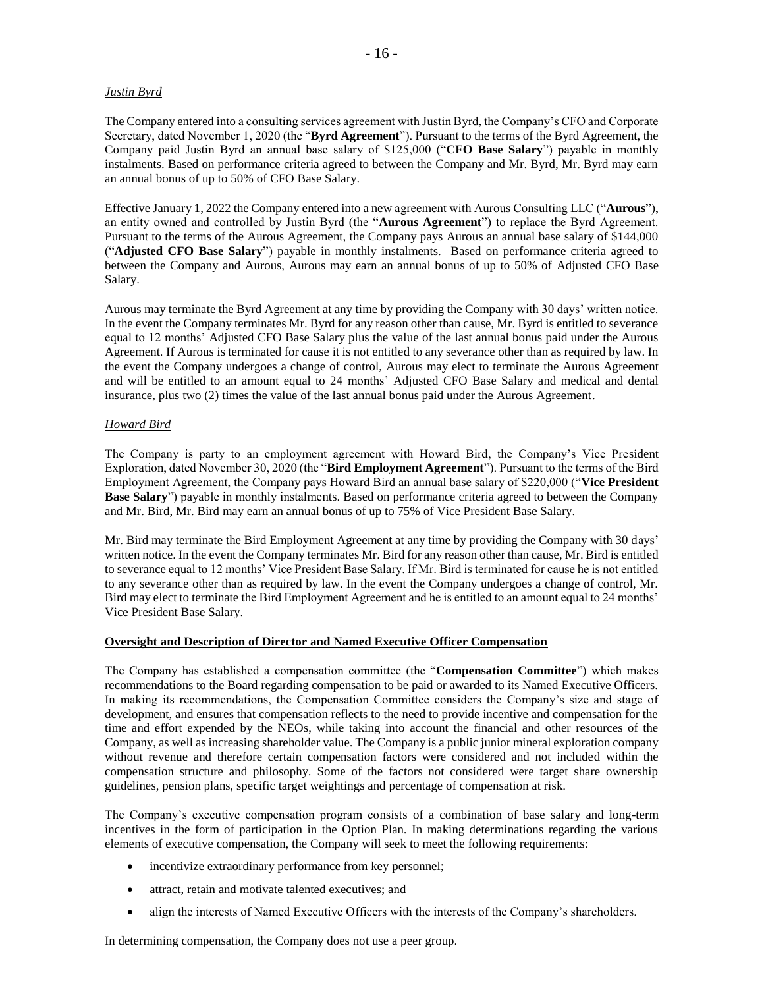## *Justin Byrd*

The Company entered into a consulting services agreement with Justin Byrd, the Company's CFO and Corporate Secretary, dated November 1, 2020 (the "**Byrd Agreement**"). Pursuant to the terms of the Byrd Agreement, the Company paid Justin Byrd an annual base salary of \$125,000 ("**CFO Base Salary**") payable in monthly instalments. Based on performance criteria agreed to between the Company and Mr. Byrd, Mr. Byrd may earn an annual bonus of up to 50% of CFO Base Salary.

Effective January 1, 2022 the Company entered into a new agreement with Aurous Consulting LLC ("**Aurous**"), an entity owned and controlled by Justin Byrd (the "**Aurous Agreement**") to replace the Byrd Agreement. Pursuant to the terms of the Aurous Agreement, the Company pays Aurous an annual base salary of \$144,000 ("**Adjusted CFO Base Salary**") payable in monthly instalments. Based on performance criteria agreed to between the Company and Aurous, Aurous may earn an annual bonus of up to 50% of Adjusted CFO Base Salary.

Aurous may terminate the Byrd Agreement at any time by providing the Company with 30 days' written notice. In the event the Company terminates Mr. Byrd for any reason other than cause, Mr. Byrd is entitled to severance equal to 12 months' Adjusted CFO Base Salary plus the value of the last annual bonus paid under the Aurous Agreement. If Aurous is terminated for cause it is not entitled to any severance other than as required by law. In the event the Company undergoes a change of control, Aurous may elect to terminate the Aurous Agreement and will be entitled to an amount equal to 24 months' Adjusted CFO Base Salary and medical and dental insurance, plus two (2) times the value of the last annual bonus paid under the Aurous Agreement.

## *Howard Bird*

The Company is party to an employment agreement with Howard Bird, the Company's Vice President Exploration, dated November 30, 2020 (the "**Bird Employment Agreement**"). Pursuant to the terms of the Bird Employment Agreement, the Company pays Howard Bird an annual base salary of \$220,000 ("**Vice President Base Salary**") payable in monthly instalments. Based on performance criteria agreed to between the Company and Mr. Bird, Mr. Bird may earn an annual bonus of up to 75% of Vice President Base Salary.

Mr. Bird may terminate the Bird Employment Agreement at any time by providing the Company with 30 days' written notice. In the event the Company terminates Mr. Bird for any reason other than cause, Mr. Bird is entitled to severance equal to 12 months' Vice President Base Salary. If Mr. Bird is terminated for cause he is not entitled to any severance other than as required by law. In the event the Company undergoes a change of control, Mr. Bird may elect to terminate the Bird Employment Agreement and he is entitled to an amount equal to 24 months' Vice President Base Salary.

# **Oversight and Description of Director and Named Executive Officer Compensation**

The Company has established a compensation committee (the "**Compensation Committee**") which makes recommendations to the Board regarding compensation to be paid or awarded to its Named Executive Officers. In making its recommendations, the Compensation Committee considers the Company's size and stage of development, and ensures that compensation reflects to the need to provide incentive and compensation for the time and effort expended by the NEOs, while taking into account the financial and other resources of the Company, as well as increasing shareholder value. The Company is a public junior mineral exploration company without revenue and therefore certain compensation factors were considered and not included within the compensation structure and philosophy. Some of the factors not considered were target share ownership guidelines, pension plans, specific target weightings and percentage of compensation at risk.

The Company's executive compensation program consists of a combination of base salary and long-term incentives in the form of participation in the Option Plan. In making determinations regarding the various elements of executive compensation, the Company will seek to meet the following requirements:

- incentivize extraordinary performance from key personnel;
- attract, retain and motivate talented executives; and
- align the interests of Named Executive Officers with the interests of the Company's shareholders.

In determining compensation, the Company does not use a peer group.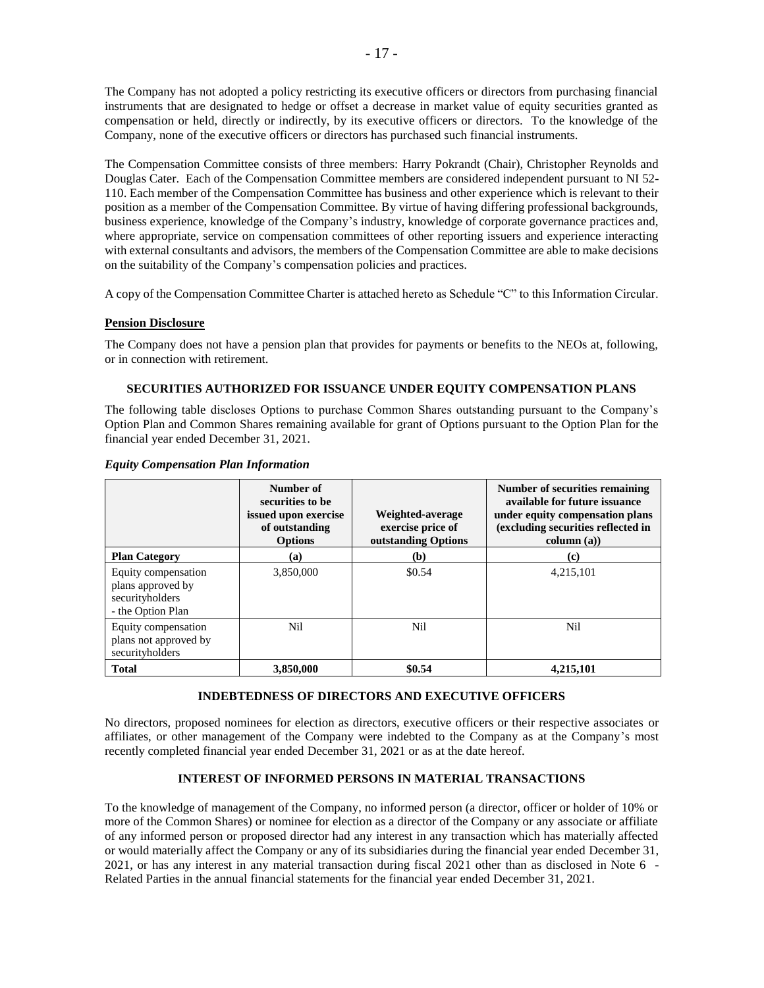The Company has not adopted a policy restricting its executive officers or directors from purchasing financial instruments that are designated to hedge or offset a decrease in market value of equity securities granted as compensation or held, directly or indirectly, by its executive officers or directors. To the knowledge of the Company, none of the executive officers or directors has purchased such financial instruments.

The Compensation Committee consists of three members: Harry Pokrandt (Chair), Christopher Reynolds and Douglas Cater. Each of the Compensation Committee members are considered independent pursuant to NI 52- 110. Each member of the Compensation Committee has business and other experience which is relevant to their position as a member of the Compensation Committee. By virtue of having differing professional backgrounds, business experience, knowledge of the Company's industry, knowledge of corporate governance practices and, where appropriate, service on compensation committees of other reporting issuers and experience interacting with external consultants and advisors, the members of the Compensation Committee are able to make decisions on the suitability of the Company's compensation policies and practices.

A copy of the Compensation Committee Charter is attached hereto as Schedule "C" to this Information Circular.

# **Pension Disclosure**

The Company does not have a pension plan that provides for payments or benefits to the NEOs at, following, or in connection with retirement.

## **SECURITIES AUTHORIZED FOR ISSUANCE UNDER EQUITY COMPENSATION PLANS**

The following table discloses Options to purchase Common Shares outstanding pursuant to the Company's Option Plan and Common Shares remaining available for grant of Options pursuant to the Option Plan for the financial year ended December 31, 2021.

|                                                                                  | Number of<br>securities to be<br>issued upon exercise<br>of outstanding<br><b>Options</b> | Weighted-average<br>exercise price of<br>outstanding Options | Number of securities remaining<br>available for future issuance<br>under equity compensation plans<br>(excluding securities reflected in<br>column (a)) |
|----------------------------------------------------------------------------------|-------------------------------------------------------------------------------------------|--------------------------------------------------------------|---------------------------------------------------------------------------------------------------------------------------------------------------------|
| <b>Plan Category</b>                                                             | (a)                                                                                       | (b)                                                          | (c)                                                                                                                                                     |
| Equity compensation<br>plans approved by<br>securityholders<br>- the Option Plan | 3,850,000                                                                                 | \$0.54                                                       | 4,215,101                                                                                                                                               |
| Equity compensation<br>plans not approved by<br>securityholders                  | Nil                                                                                       | Nil                                                          | Nil                                                                                                                                                     |
| <b>Total</b>                                                                     | 3,850,000                                                                                 | \$0.54                                                       | 4,215,101                                                                                                                                               |

#### *Equity Compensation Plan Information*

# **INDEBTEDNESS OF DIRECTORS AND EXECUTIVE OFFICERS**

No directors, proposed nominees for election as directors, executive officers or their respective associates or affiliates, or other management of the Company were indebted to the Company as at the Company's most recently completed financial year ended December 31, 2021 or as at the date hereof.

# **INTEREST OF INFORMED PERSONS IN MATERIAL TRANSACTIONS**

To the knowledge of management of the Company, no informed person (a director, officer or holder of 10% or more of the Common Shares) or nominee for election as a director of the Company or any associate or affiliate of any informed person or proposed director had any interest in any transaction which has materially affected or would materially affect the Company or any of its subsidiaries during the financial year ended December 31, 2021, or has any interest in any material transaction during fiscal 2021 other than as disclosed in Note 6 - Related Parties in the annual financial statements for the financial year ended December 31, 2021.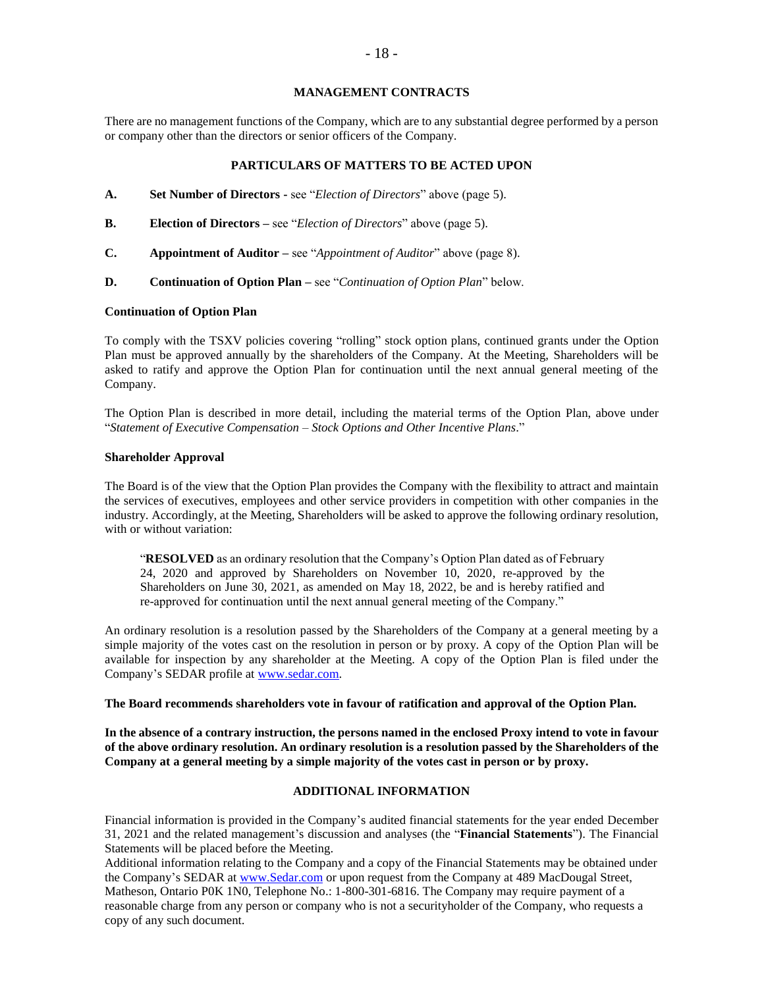### **MANAGEMENT CONTRACTS**

There are no management functions of the Company, which are to any substantial degree performed by a person or company other than the directors or senior officers of the Company.

## **PARTICULARS OF MATTERS TO BE ACTED UPON**

- **A. Set Number of Directors -** see "*Election of Directors*" above (page 5).
- **B. Election of Directors –** see "*Election of Directors*" above (page 5).
- **C. Appointment of Auditor –** see "*Appointment of Auditor*" above (page 8).
- **D. Continuation of Option Plan –** see "*Continuation of Option Plan*" below.

### **Continuation of Option Plan**

To comply with the TSXV policies covering "rolling" stock option plans, continued grants under the Option Plan must be approved annually by the shareholders of the Company. At the Meeting, Shareholders will be asked to ratify and approve the Option Plan for continuation until the next annual general meeting of the Company.

The Option Plan is described in more detail, including the material terms of the Option Plan, above under "*Statement of Executive Compensation – Stock Options and Other Incentive Plans*."

#### **Shareholder Approval**

The Board is of the view that the Option Plan provides the Company with the flexibility to attract and maintain the services of executives, employees and other service providers in competition with other companies in the industry. Accordingly, at the Meeting, Shareholders will be asked to approve the following ordinary resolution, with or without variation:

"**RESOLVED** as an ordinary resolution that the Company's Option Plan dated as of February 24, 2020 and approved by Shareholders on November 10, 2020, re-approved by the Shareholders on June 30, 2021, as amended on May 18, 2022, be and is hereby ratified and re-approved for continuation until the next annual general meeting of the Company."

An ordinary resolution is a resolution passed by the Shareholders of the Company at a general meeting by a simple majority of the votes cast on the resolution in person or by proxy. A copy of the Option Plan will be available for inspection by any shareholder at the Meeting. A copy of the Option Plan is filed under the Company's SEDAR profile at [www.sedar.com.](http://www.sedar.com/)

### **The Board recommends shareholders vote in favour of ratification and approval of the Option Plan.**

**In the absence of a contrary instruction, the persons named in the enclosed Proxy intend to vote in favour of the above ordinary resolution. An ordinary resolution is a resolution passed by the Shareholders of the Company at a general meeting by a simple majority of the votes cast in person or by proxy.**

## **ADDITIONAL INFORMATION**

Financial information is provided in the Company's audited financial statements for the year ended December 31, 2021 and the related management's discussion and analyses (the "**Financial Statements**"). The Financial Statements will be placed before the Meeting.

Additional information relating to the Company and a copy of the Financial Statements may be obtained under the Company's SEDAR at [www.Sedar.com](http://www.sedar.com/) or upon request from the Company at 489 MacDougal Street, Matheson, Ontario P0K 1N0, Telephone No.: 1-800-301-6816. The Company may require payment of a reasonable charge from any person or company who is not a securityholder of the Company, who requests a copy of any such document.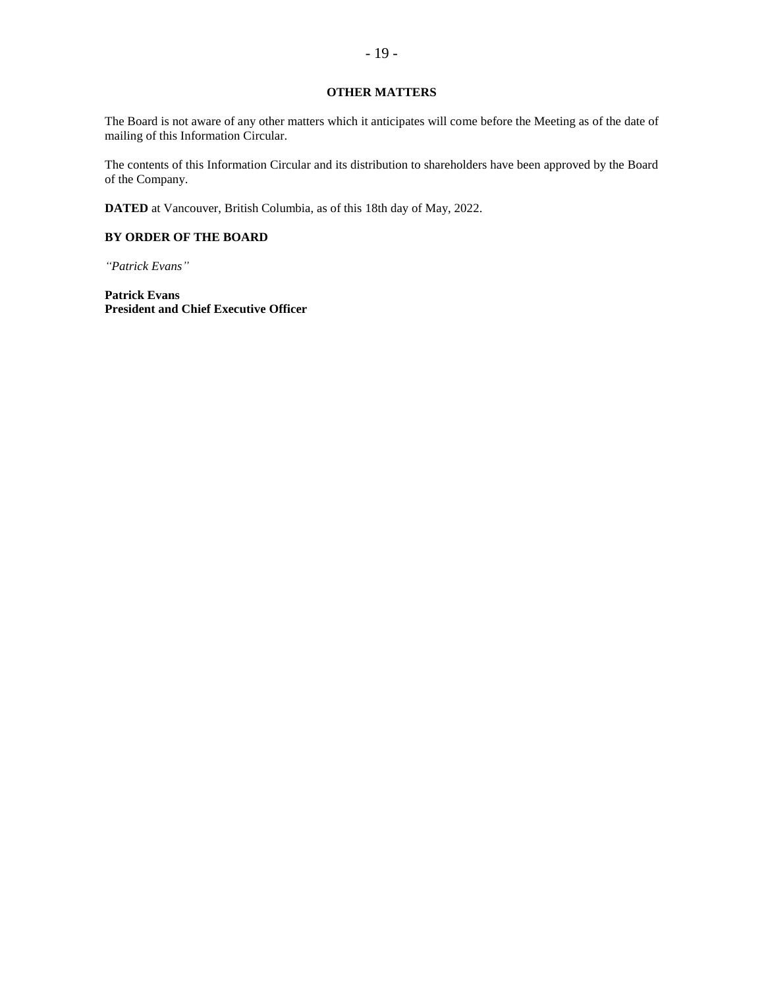## **OTHER MATTERS**

The Board is not aware of any other matters which it anticipates will come before the Meeting as of the date of mailing of this Information Circular.

The contents of this Information Circular and its distribution to shareholders have been approved by the Board of the Company.

**DATED** at Vancouver, British Columbia, as of this 18th day of May, 2022.

# **BY ORDER OF THE BOARD**

*"Patrick Evans"*

**Patrick Evans President and Chief Executive Officer**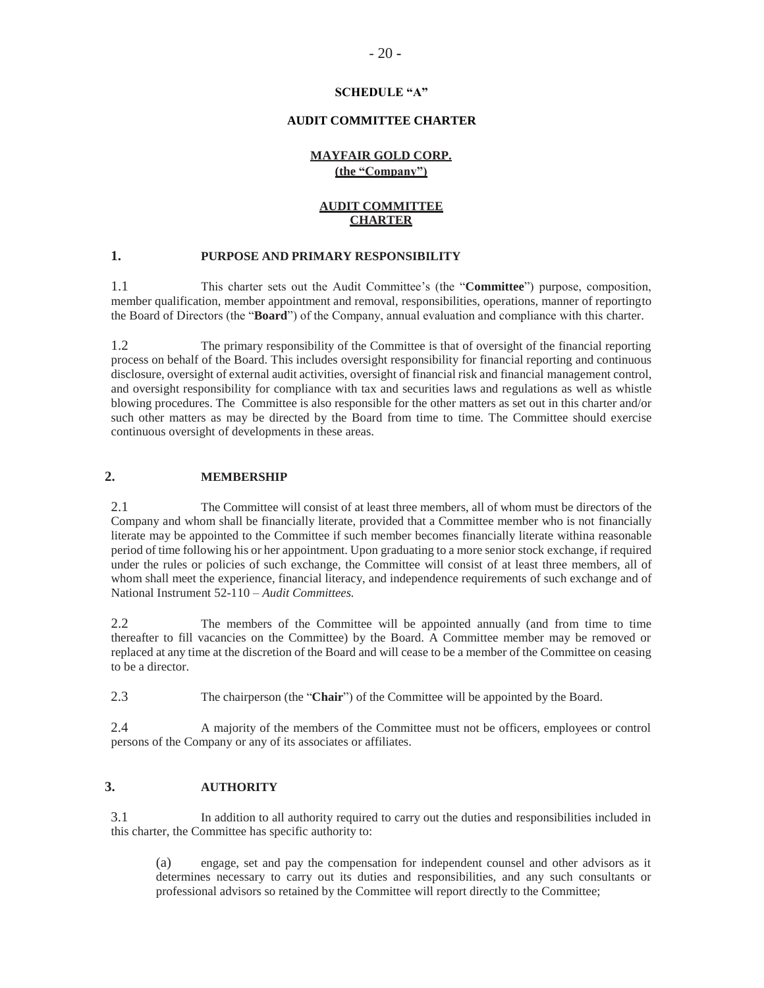### **SCHEDULE "A"**

### **AUDIT COMMITTEE CHARTER**

## **MAYFAIR GOLD CORP. (the "Company")**

# **AUDIT COMMITTEE CHARTER**

## **1. PURPOSE AND PRIMARY RESPONSIBILITY**

1.1 This charter sets out the Audit Committee's (the "**Committee**") purpose, composition, member qualification, member appointment and removal, responsibilities, operations, manner of reportingto the Board of Directors (the "**Board**") of the Company, annual evaluation and compliance with this charter.

1.2 The primary responsibility of the Committee is that of oversight of the financial reporting process on behalf of the Board. This includes oversight responsibility for financial reporting and continuous disclosure, oversight of external audit activities, oversight of financial risk and financial management control, and oversight responsibility for compliance with tax and securities laws and regulations as well as whistle blowing procedures. The Committee is also responsible for the other matters as set out in this charter and/or such other matters as may be directed by the Board from time to time. The Committee should exercise continuous oversight of developments in these areas.

## **2. MEMBERSHIP**

2.1 The Committee will consist of at least three members, all of whom must be directors of the Company and whom shall be financially literate, provided that a Committee member who is not financially literate may be appointed to the Committee if such member becomes financially literate withina reasonable period of time following his or her appointment. Upon graduating to a more senior stock exchange, if required under the rules or policies of such exchange, the Committee will consist of at least three members, all of whom shall meet the experience, financial literacy, and independence requirements of such exchange and of National Instrument 52-110 – *Audit Committees.*

2.2 The members of the Committee will be appointed annually (and from time to time thereafter to fill vacancies on the Committee) by the Board. A Committee member may be removed or replaced at any time at the discretion of the Board and will cease to be a member of the Committee on ceasing to be a director.

2.3 The chairperson (the "**Chair**") of the Committee will be appointed by the Board.

2.4 A majority of the members of the Committee must not be officers, employees or control persons of the Company or any of its associates or affiliates.

## **3. AUTHORITY**

3.1 In addition to all authority required to carry out the duties and responsibilities included in this charter, the Committee has specific authority to:

(a) engage, set and pay the compensation for independent counsel and other advisors as it determines necessary to carry out its duties and responsibilities, and any such consultants or professional advisors so retained by the Committee will report directly to the Committee;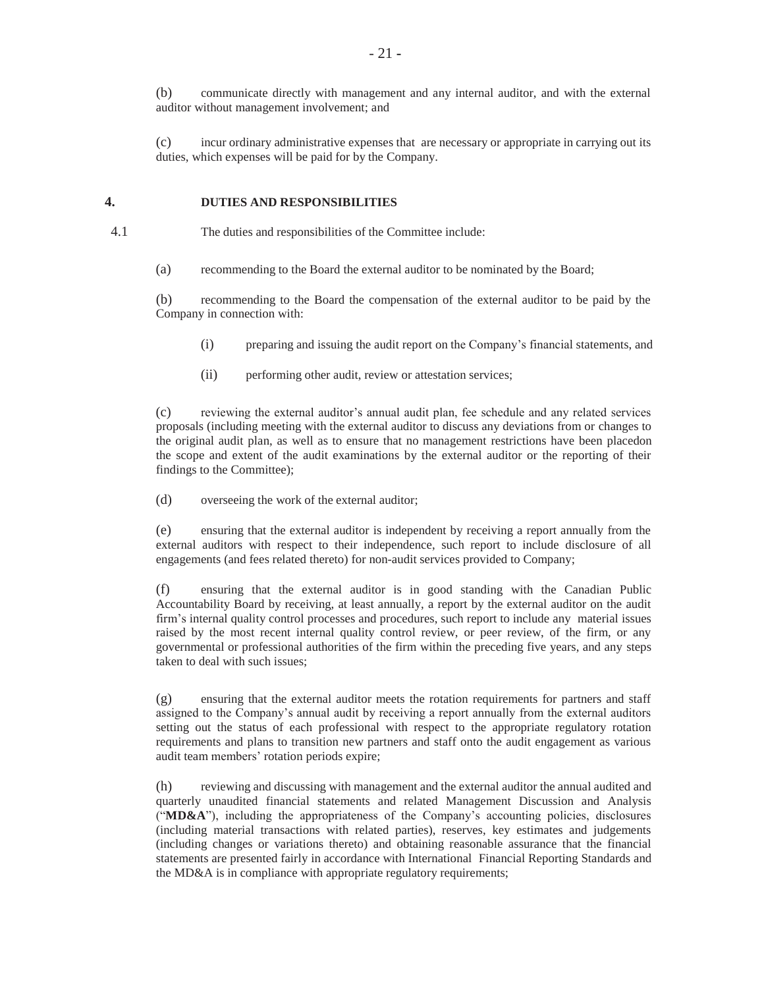(b) communicate directly with management and any internal auditor, and with the external auditor without management involvement; and

(c) incur ordinary administrative expenses that are necessary or appropriate in carrying out its duties, which expenses will be paid for by the Company.

## **4. DUTIES AND RESPONSIBILITIES**

4.1 The duties and responsibilities of the Committee include:

(a) recommending to the Board the external auditor to be nominated by the Board;

(b) recommending to the Board the compensation of the external auditor to be paid by the Company in connection with:

- (i) preparing and issuing the audit report on the Company's financial statements, and
- (ii) performing other audit, review or attestation services;

(c) reviewing the external auditor's annual audit plan, fee schedule and any related services proposals (including meeting with the external auditor to discuss any deviations from or changes to the original audit plan, as well as to ensure that no management restrictions have been placedon the scope and extent of the audit examinations by the external auditor or the reporting of their findings to the Committee);

(d) overseeing the work of the external auditor;

(e) ensuring that the external auditor is independent by receiving a report annually from the external auditors with respect to their independence, such report to include disclosure of all engagements (and fees related thereto) for non-audit services provided to Company;

(f) ensuring that the external auditor is in good standing with the Canadian Public Accountability Board by receiving, at least annually, a report by the external auditor on the audit firm's internal quality control processes and procedures, such report to include any material issues raised by the most recent internal quality control review, or peer review, of the firm, or any governmental or professional authorities of the firm within the preceding five years, and any steps taken to deal with such issues;

(g) ensuring that the external auditor meets the rotation requirements for partners and staff assigned to the Company's annual audit by receiving a report annually from the external auditors setting out the status of each professional with respect to the appropriate regulatory rotation requirements and plans to transition new partners and staff onto the audit engagement as various audit team members' rotation periods expire;

(h) reviewing and discussing with management and the external auditor the annual audited and quarterly unaudited financial statements and related Management Discussion and Analysis ("**MD&A**"), including the appropriateness of the Company's accounting policies, disclosures (including material transactions with related parties), reserves, key estimates and judgements (including changes or variations thereto) and obtaining reasonable assurance that the financial statements are presented fairly in accordance with International Financial Reporting Standards and the MD&A is in compliance with appropriate regulatory requirements;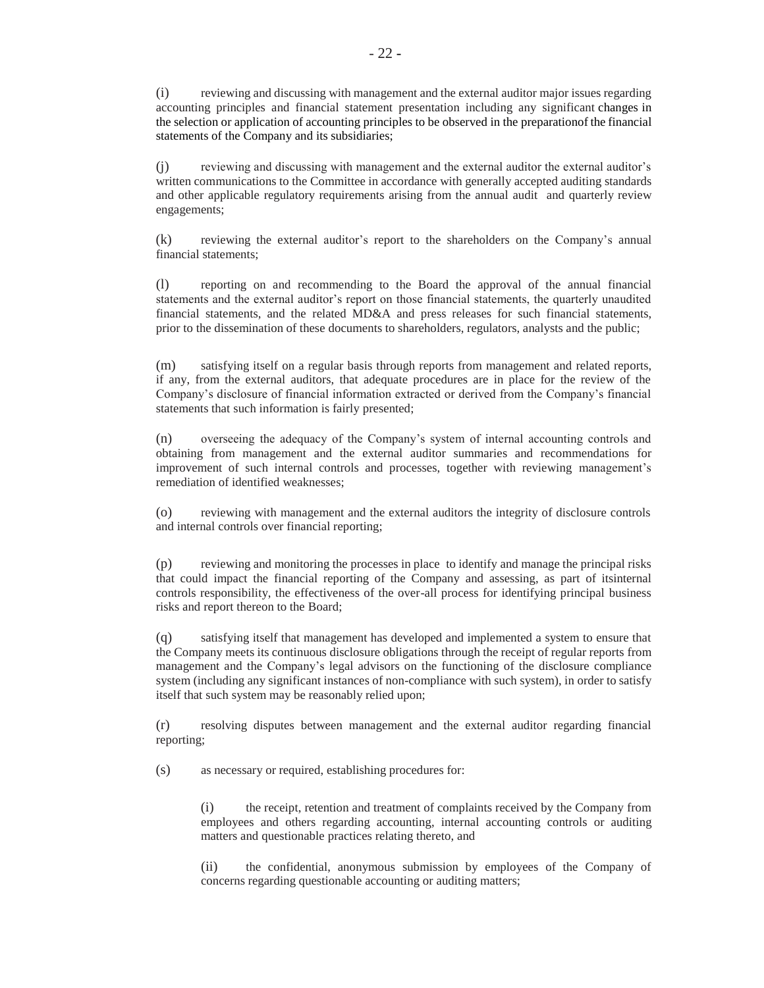(i) reviewing and discussing with management and the external auditor major issues regarding accounting principles and financial statement presentation including any significant changes in the selection or application of accounting principles to be observed in the preparationof the financial statements of the Company and its subsidiaries;

(j) reviewing and discussing with management and the external auditor the external auditor's written communications to the Committee in accordance with generally accepted auditing standards and other applicable regulatory requirements arising from the annual audit and quarterly review engagements;

(k) reviewing the external auditor's report to the shareholders on the Company's annual financial statements;

(l) reporting on and recommending to the Board the approval of the annual financial statements and the external auditor's report on those financial statements, the quarterly unaudited financial statements, and the related MD&A and press releases for such financial statements, prior to the dissemination of these documents to shareholders, regulators, analysts and the public;

(m) satisfying itself on a regular basis through reports from management and related reports, if any, from the external auditors, that adequate procedures are in place for the review of the Company's disclosure of financial information extracted or derived from the Company's financial statements that such information is fairly presented;

(n) overseeing the adequacy of the Company's system of internal accounting controls and obtaining from management and the external auditor summaries and recommendations for improvement of such internal controls and processes, together with reviewing management's remediation of identified weaknesses;

(o) reviewing with management and the external auditors the integrity of disclosure controls and internal controls over financial reporting;

(p) reviewing and monitoring the processes in place to identify and manage the principal risks that could impact the financial reporting of the Company and assessing, as part of itsinternal controls responsibility, the effectiveness of the over-all process for identifying principal business risks and report thereon to the Board;

(q) satisfying itself that management has developed and implemented a system to ensure that the Company meets its continuous disclosure obligations through the receipt of regular reports from management and the Company's legal advisors on the functioning of the disclosure compliance system (including any significant instances of non-compliance with such system), in order to satisfy itself that such system may be reasonably relied upon;

(r) resolving disputes between management and the external auditor regarding financial reporting;

(s) as necessary or required, establishing procedures for:

(i) the receipt, retention and treatment of complaints received by the Company from employees and others regarding accounting, internal accounting controls or auditing matters and questionable practices relating thereto, and

(ii) the confidential, anonymous submission by employees of the Company of concerns regarding questionable accounting or auditing matters;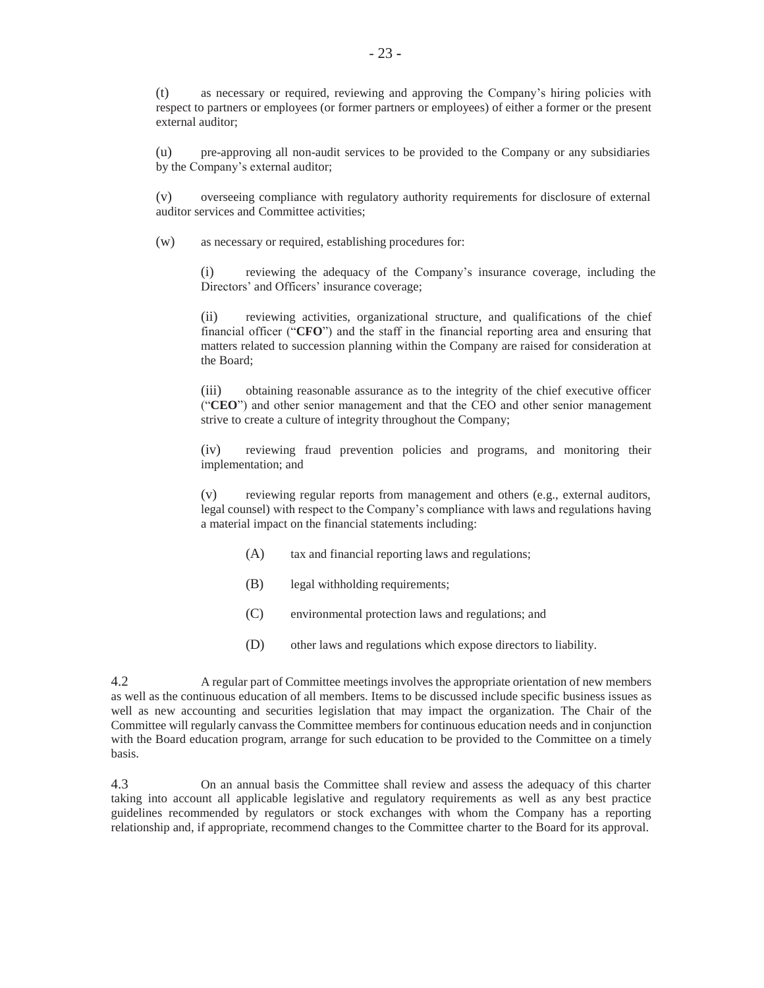(t) as necessary or required, reviewing and approving the Company's hiring policies with respect to partners or employees (or former partners or employees) of either a former or the present external auditor;

(u) pre-approving all non-audit services to be provided to the Company or any subsidiaries by the Company's external auditor;

(v) overseeing compliance with regulatory authority requirements for disclosure of external auditor services and Committee activities;

(w) as necessary or required, establishing procedures for:

(i) reviewing the adequacy of the Company's insurance coverage, including the Directors' and Officers' insurance coverage;

(ii) reviewing activities, organizational structure, and qualifications of the chief financial officer ("**CFO**") and the staff in the financial reporting area and ensuring that matters related to succession planning within the Company are raised for consideration at the Board;

(iii) obtaining reasonable assurance as to the integrity of the chief executive officer ("**CEO**") and other senior management and that the CEO and other senior management strive to create a culture of integrity throughout the Company;

(iv) reviewing fraud prevention policies and programs, and monitoring their implementation; and

(v) reviewing regular reports from management and others (e.g., external auditors, legal counsel) with respect to the Company's compliance with laws and regulations having a material impact on the financial statements including:

- (A) tax and financial reporting laws and regulations;
- (B) legal withholding requirements;
- (C) environmental protection laws and regulations; and
- (D) other laws and regulations which expose directors to liability.

4.2 A regular part of Committee meetings involves the appropriate orientation of new members as well as the continuous education of all members. Items to be discussed include specific business issues as well as new accounting and securities legislation that may impact the organization. The Chair of the Committee will regularly canvass the Committee members for continuous education needs and in conjunction with the Board education program, arrange for such education to be provided to the Committee on a timely basis.

4.3 On an annual basis the Committee shall review and assess the adequacy of this charter taking into account all applicable legislative and regulatory requirements as well as any best practice guidelines recommended by regulators or stock exchanges with whom the Company has a reporting relationship and, if appropriate, recommend changes to the Committee charter to the Board for its approval.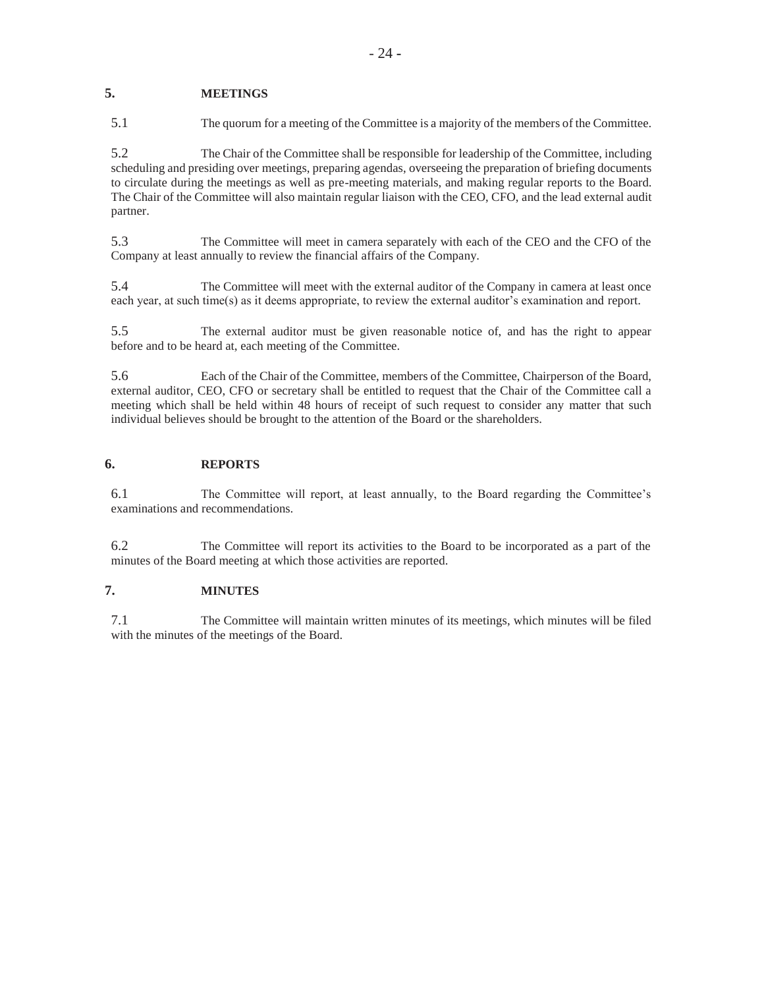# **5. MEETINGS**

5.1 The quorum for a meeting of the Committee is a majority of the members of the Committee.

5.2 The Chair of the Committee shall be responsible for leadership of the Committee, including scheduling and presiding over meetings, preparing agendas, overseeing the preparation of briefing documents to circulate during the meetings as well as pre-meeting materials, and making regular reports to the Board. The Chair of the Committee will also maintain regular liaison with the CEO, CFO, and the lead external audit partner.

5.3 The Committee will meet in camera separately with each of the CEO and the CFO of the Company at least annually to review the financial affairs of the Company.

5.4 The Committee will meet with the external auditor of the Company in camera at least once each year, at such time(s) as it deems appropriate, to review the external auditor's examination and report.

5.5 The external auditor must be given reasonable notice of, and has the right to appear before and to be heard at, each meeting of the Committee.

5.6 Each of the Chair of the Committee, members of the Committee, Chairperson of the Board, external auditor, CEO, CFO or secretary shall be entitled to request that the Chair of the Committee call a meeting which shall be held within 48 hours of receipt of such request to consider any matter that such individual believes should be brought to the attention of the Board or the shareholders.

### **6. REPORTS**

6.1 The Committee will report, at least annually, to the Board regarding the Committee's examinations and recommendations.

6.2 The Committee will report its activities to the Board to be incorporated as a part of the minutes of the Board meeting at which those activities are reported.

# **7. MINUTES**

7.1 The Committee will maintain written minutes of its meetings, which minutes will be filed with the minutes of the meetings of the Board.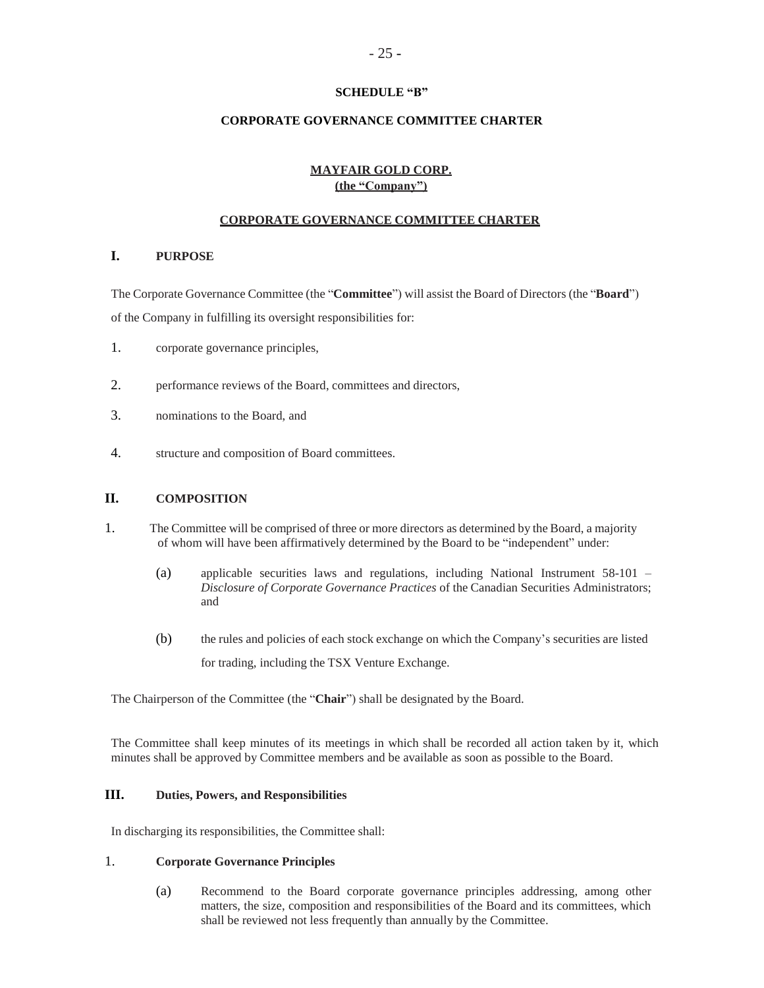## **SCHEDULE "B"**

## **CORPORATE GOVERNANCE COMMITTEE CHARTER**

# **MAYFAIR GOLD CORP. (the "Company")**

## **CORPORATE GOVERNANCE COMMITTEE CHARTER**

# **I. PURPOSE**

The Corporate Governance Committee (the "**Committee**") will assist the Board of Directors (the "**Board**") of the Company in fulfilling its oversight responsibilities for:

- 1. corporate governance principles,
- 2. performance reviews of the Board, committees and directors,
- 3. nominations to the Board, and
- 4. structure and composition of Board committees.

## **II. COMPOSITION**

- 1. The Committee will be comprised of three or more directors as determined by the Board, a majority of whom will have been affirmatively determined by the Board to be "independent" under:
	- (a) applicable securities laws and regulations, including National Instrument 58-101 *Disclosure of Corporate Governance Practices* of the Canadian Securities Administrators; and
	- (b) the rules and policies of each stock exchange on which the Company's securities are listed for trading, including the TSX Venture Exchange.

The Chairperson of the Committee (the "**Chair**") shall be designated by the Board.

The Committee shall keep minutes of its meetings in which shall be recorded all action taken by it, which minutes shall be approved by Committee members and be available as soon as possible to the Board.

### **III. Duties, Powers, and Responsibilities**

In discharging its responsibilities, the Committee shall:

## 1. **Corporate Governance Principles**

(a) Recommend to the Board corporate governance principles addressing, among other matters, the size, composition and responsibilities of the Board and its committees, which shall be reviewed not less frequently than annually by the Committee.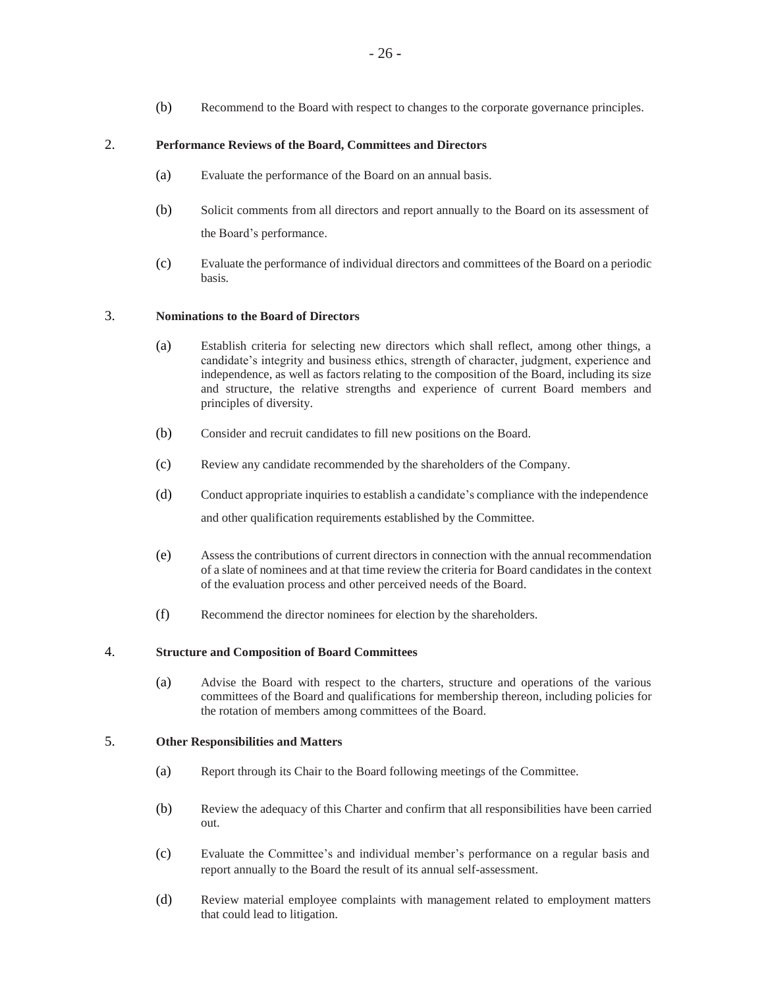(b) Recommend to the Board with respect to changes to the corporate governance principles.

# 2. **Performance Reviews of the Board, Committees and Directors**

- (a) Evaluate the performance of the Board on an annual basis.
- (b) Solicit comments from all directors and report annually to the Board on its assessment of the Board's performance.
- (c) Evaluate the performance of individual directors and committees of the Board on a periodic basis.

# 3. **Nominations to the Board of Directors**

- (a) Establish criteria for selecting new directors which shall reflect, among other things, a candidate's integrity and business ethics, strength of character, judgment, experience and independence, as well as factors relating to the composition of the Board, including its size and structure, the relative strengths and experience of current Board members and principles of diversity.
- (b) Consider and recruit candidates to fill new positions on the Board.
- (c) Review any candidate recommended by the shareholders of the Company.
- (d) Conduct appropriate inquiries to establish a candidate's compliance with the independence and other qualification requirements established by the Committee.
- (e) Assessthe contributions of current directors in connection with the annual recommendation of a slate of nominees and at that time review the criteria for Board candidates in the context of the evaluation process and other perceived needs of the Board.
- (f) Recommend the director nominees for election by the shareholders.

## 4. **Structure and Composition of Board Committees**

(a) Advise the Board with respect to the charters, structure and operations of the various committees of the Board and qualifications for membership thereon, including policies for the rotation of members among committees of the Board.

## 5. **Other Responsibilities and Matters**

- (a) Report through its Chair to the Board following meetings of the Committee.
- (b) Review the adequacy of this Charter and confirm that all responsibilities have been carried out.
- (c) Evaluate the Committee's and individual member's performance on a regular basis and report annually to the Board the result of its annual self-assessment.
- (d) Review material employee complaints with management related to employment matters that could lead to litigation.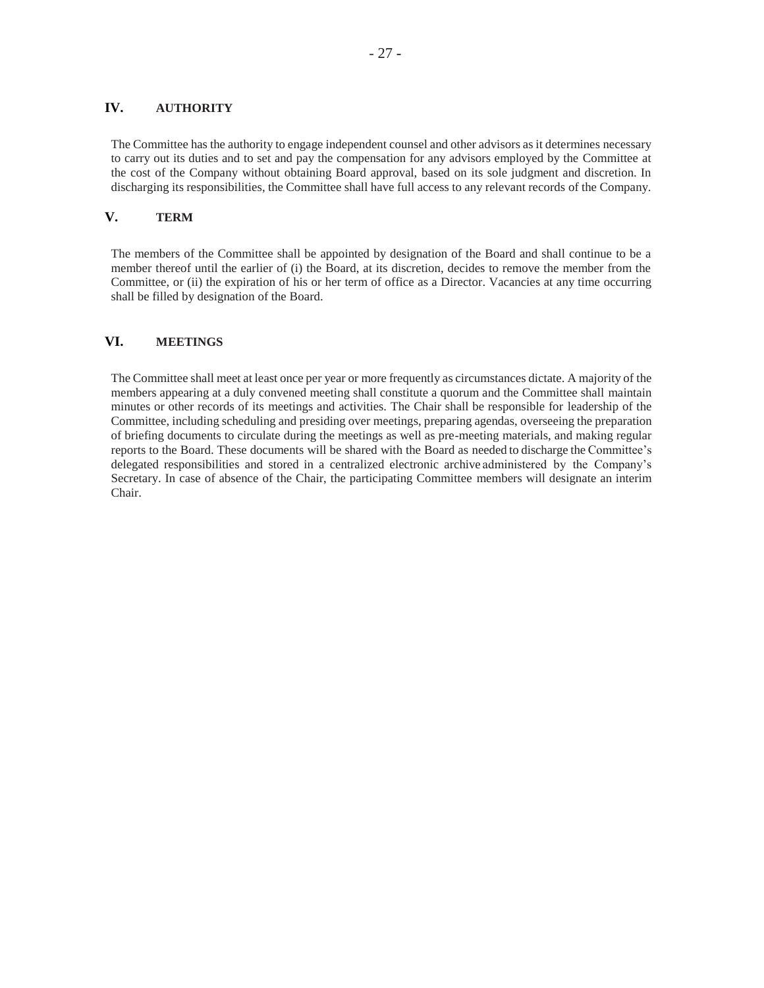## **IV. AUTHORITY**

The Committee has the authority to engage independent counsel and other advisors as it determines necessary to carry out its duties and to set and pay the compensation for any advisors employed by the Committee at the cost of the Company without obtaining Board approval, based on its sole judgment and discretion. In discharging its responsibilities, the Committee shall have full access to any relevant records of the Company.

## **V. TERM**

The members of the Committee shall be appointed by designation of the Board and shall continue to be a member thereof until the earlier of (i) the Board, at its discretion, decides to remove the member from the Committee, or (ii) the expiration of his or her term of office as a Director. Vacancies at any time occurring shall be filled by designation of the Board.

## **VI. MEETINGS**

The Committee shall meet at least once per year or more frequently as circumstances dictate. A majority of the members appearing at a duly convened meeting shall constitute a quorum and the Committee shall maintain minutes or other records of its meetings and activities. The Chair shall be responsible for leadership of the Committee, including scheduling and presiding over meetings, preparing agendas, overseeing the preparation of briefing documents to circulate during the meetings as well as pre-meeting materials, and making regular reports to the Board. These documents will be shared with the Board as needed to discharge the Committee's delegated responsibilities and stored in a centralized electronic archive administered by the Company's Secretary. In case of absence of the Chair, the participating Committee members will designate an interim Chair.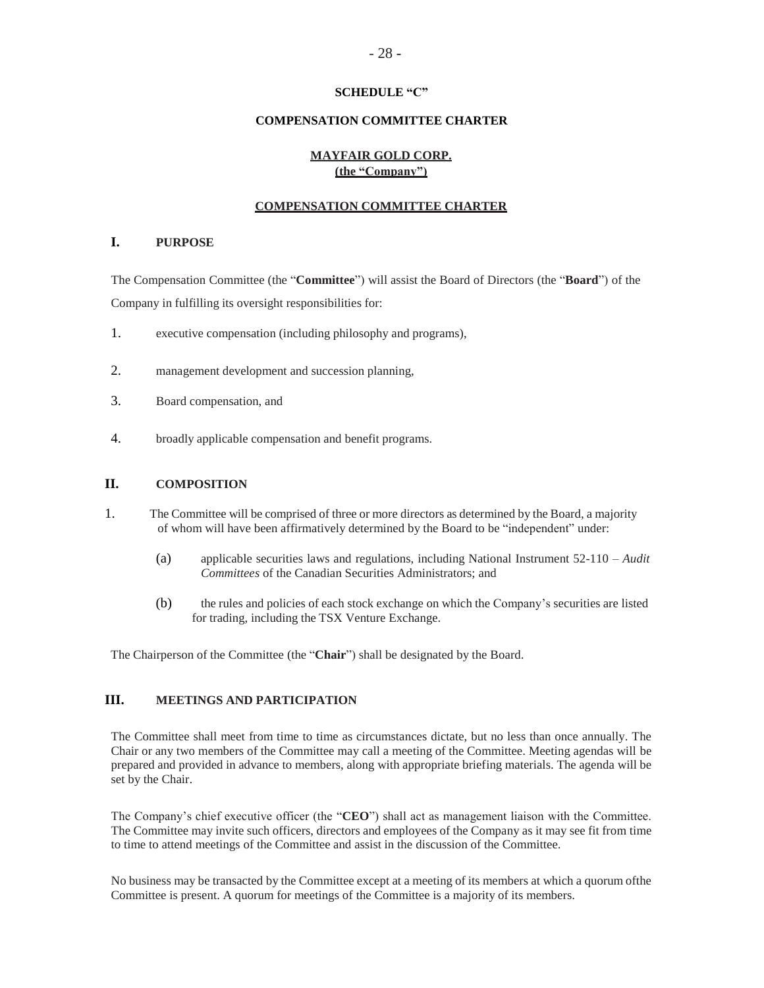## **SCHEDULE "C"**

### **COMPENSATION COMMITTEE CHARTER**

## **MAYFAIR GOLD CORP. (the "Company")**

### **COMPENSATION COMMITTEE CHARTER**

## **I. PURPOSE**

The Compensation Committee (the "**Committee**") will assist the Board of Directors (the "**Board**") of the Company in fulfilling its oversight responsibilities for:

- 1. executive compensation (including philosophy and programs),
- 2. management development and succession planning,
- 3. Board compensation, and
- 4. broadly applicable compensation and benefit programs.

### **II. COMPOSITION**

- 1. The Committee will be comprised of three or more directors as determined by the Board, a majority of whom will have been affirmatively determined by the Board to be "independent" under:
	- (a) applicable securities laws and regulations, including National Instrument 52-110 *Audit Committees* of the Canadian Securities Administrators; and
	- (b) the rules and policies of each stock exchange on which the Company's securities are listed for trading, including the TSX Venture Exchange.

The Chairperson of the Committee (the "**Chair**") shall be designated by the Board.

# **III. MEETINGS AND PARTICIPATION**

The Committee shall meet from time to time as circumstances dictate, but no less than once annually. The Chair or any two members of the Committee may call a meeting of the Committee. Meeting agendas will be prepared and provided in advance to members, along with appropriate briefing materials. The agenda will be set by the Chair.

The Company's chief executive officer (the "**CEO**") shall act as management liaison with the Committee. The Committee may invite such officers, directors and employees of the Company as it may see fit from time to time to attend meetings of the Committee and assist in the discussion of the Committee.

No business may be transacted by the Committee except at a meeting of its members at which a quorum ofthe Committee is present. A quorum for meetings of the Committee is a majority of its members.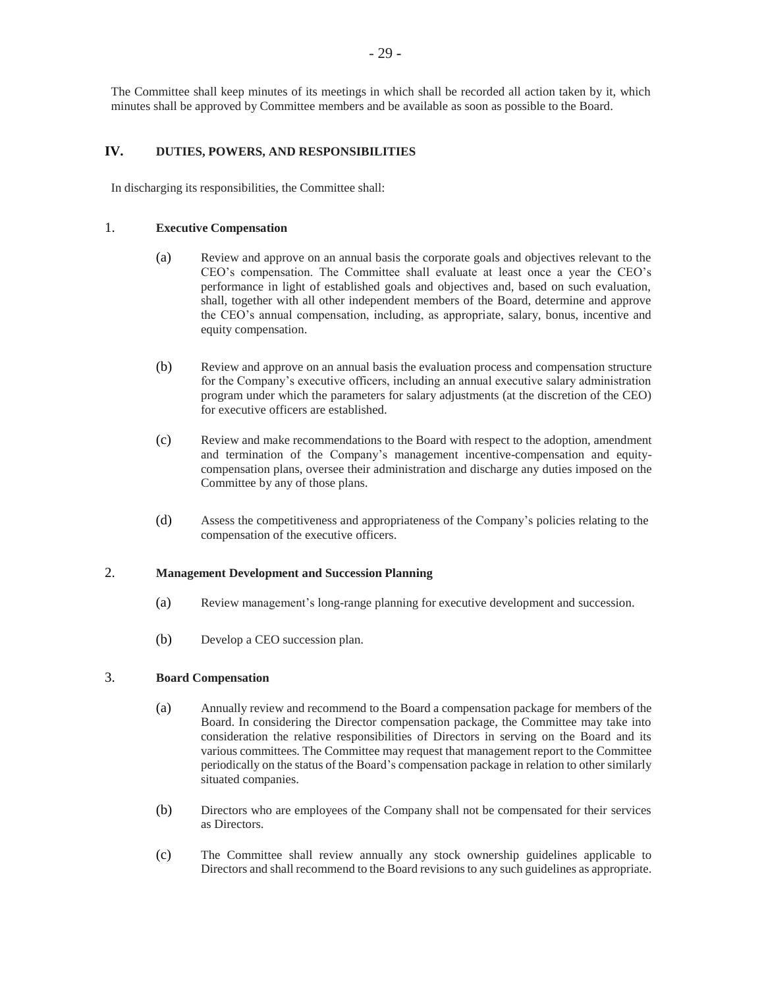The Committee shall keep minutes of its meetings in which shall be recorded all action taken by it, which minutes shall be approved by Committee members and be available as soon as possible to the Board.

# **IV. DUTIES, POWERS, AND RESPONSIBILITIES**

In discharging its responsibilities, the Committee shall:

## 1. **Executive Compensation**

- (a) Review and approve on an annual basis the corporate goals and objectives relevant to the CEO's compensation. The Committee shall evaluate at least once a year the CEO's performance in light of established goals and objectives and, based on such evaluation, shall, together with all other independent members of the Board, determine and approve the CEO's annual compensation, including, as appropriate, salary, bonus, incentive and equity compensation.
- (b) Review and approve on an annual basis the evaluation process and compensation structure for the Company's executive officers, including an annual executive salary administration program under which the parameters for salary adjustments (at the discretion of the CEO) for executive officers are established.
- (c) Review and make recommendations to the Board with respect to the adoption, amendment and termination of the Company's management incentive-compensation and equitycompensation plans, oversee their administration and discharge any duties imposed on the Committee by any of those plans.
- (d) Assess the competitiveness and appropriateness of the Company's policies relating to the compensation of the executive officers.

# 2. **Management Development and Succession Planning**

- (a) Review management's long-range planning for executive development and succession.
- (b) Develop a CEO succession plan.

# 3. **Board Compensation**

- (a) Annually review and recommend to the Board a compensation package for members of the Board. In considering the Director compensation package, the Committee may take into consideration the relative responsibilities of Directors in serving on the Board and its various committees. The Committee may request that management report to the Committee periodically on the status of the Board's compensation package in relation to other similarly situated companies.
- (b) Directors who are employees of the Company shall not be compensated for their services as Directors.
- (c) The Committee shall review annually any stock ownership guidelines applicable to Directors and shall recommend to the Board revisionsto any such guidelines as appropriate.